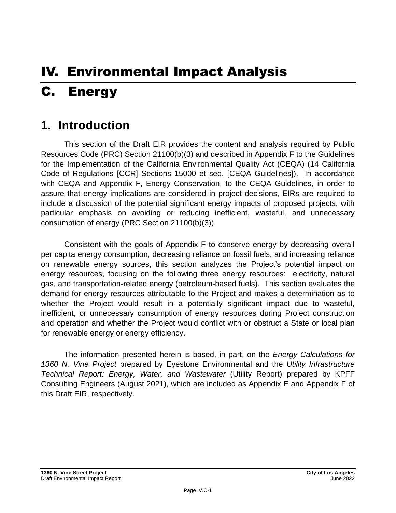# IV. Environmental Impact Analysis C. Energy

# **1. Introduction**

This section of the Draft EIR provides the content and analysis required by Public Resources Code (PRC) Section 21100(b)(3) and described in Appendix F to the Guidelines for the Implementation of the California Environmental Quality Act (CEQA) (14 California Code of Regulations [CCR] Sections 15000 et seq. [CEQA Guidelines]). In accordance with CEQA and Appendix F, Energy Conservation, to the CEQA Guidelines, in order to assure that energy implications are considered in project decisions, EIRs are required to include a discussion of the potential significant energy impacts of proposed projects, with particular emphasis on avoiding or reducing inefficient, wasteful, and unnecessary consumption of energy (PRC Section 21100(b)(3)).

Consistent with the goals of Appendix F to conserve energy by decreasing overall per capita energy consumption, decreasing reliance on fossil fuels, and increasing reliance on renewable energy sources, this section analyzes the Project's potential impact on energy resources, focusing on the following three energy resources: electricity, natural gas, and transportation-related energy (petroleum-based fuels). This section evaluates the demand for energy resources attributable to the Project and makes a determination as to whether the Project would result in a potentially significant impact due to wasteful, inefficient, or unnecessary consumption of energy resources during Project construction and operation and whether the Project would conflict with or obstruct a State or local plan for renewable energy or energy efficiency.

The information presented herein is based, in part, on the *Energy Calculations for 1360 N. Vine Project* prepared by Eyestone Environmental and the *Utility Infrastructure Technical Report: Energy, Water, and Wastewater* (Utility Report) prepared by KPFF Consulting Engineers (August 2021), which are included as Appendix E and Appendix F of this Draft EIR, respectively.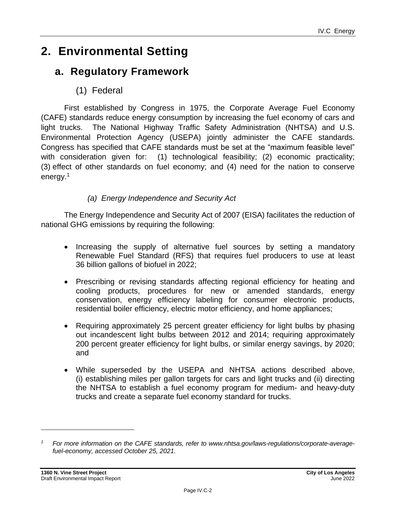# **2. Environmental Setting**

# **a. Regulatory Framework**

(1) Federal

First established by Congress in 1975, the Corporate Average Fuel Economy (CAFE) standards reduce energy consumption by increasing the fuel economy of cars and light trucks. The National Highway Traffic Safety Administration (NHTSA) and U.S. Environmental Protection Agency (USEPA) jointly administer the CAFE standards. Congress has specified that CAFE standards must be set at the "maximum feasible level" with consideration given for: (1) technological feasibility; (2) economic practicality; (3) effect of other standards on fuel economy; and (4) need for the nation to conserve energy.<sup>1</sup>

### *(a) Energy Independence and Security Act*

The Energy Independence and Security Act of 2007 (EISA) facilitates the reduction of national GHG emissions by requiring the following:

- Increasing the supply of alternative fuel sources by setting a mandatory Renewable Fuel Standard (RFS) that requires fuel producers to use at least 36 billion gallons of biofuel in 2022;
- Prescribing or revising standards affecting regional efficiency for heating and cooling products, procedures for new or amended standards, energy conservation, energy efficiency labeling for consumer electronic products, residential boiler efficiency, electric motor efficiency, and home appliances;
- Requiring approximately 25 percent greater efficiency for light bulbs by phasing out incandescent light bulbs between 2012 and 2014; requiring approximately 200 percent greater efficiency for light bulbs, or similar energy savings, by 2020; and
- While superseded by the USEPA and NHTSA actions described above, (i) establishing miles per gallon targets for cars and light trucks and (ii) directing the NHTSA to establish a fuel economy program for medium- and heavy-duty trucks and create a separate fuel economy standard for trucks.

*<sup>1</sup> For more information on the CAFE standards, refer to www.nhtsa.gov/laws-regulations/corporate-averagefuel-economy, accessed October 25, 2021.*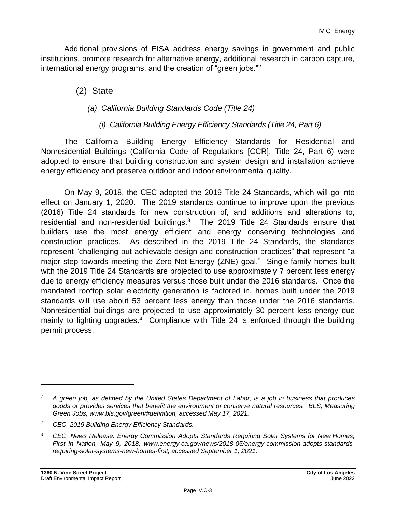Additional provisions of EISA address energy savings in government and public institutions, promote research for alternative energy, additional research in carbon capture, international energy programs, and the creation of "green jobs."<sup>2</sup>

(2) State

#### *(a) California Building Standards Code (Title 24)*

#### *(i) California Building Energy Efficiency Standards (Title 24, Part 6)*

The California Building Energy Efficiency Standards for Residential and Nonresidential Buildings (California Code of Regulations [CCR], Title 24, Part 6) were adopted to ensure that building construction and system design and installation achieve energy efficiency and preserve outdoor and indoor environmental quality.

On May 9, 2018, the CEC adopted the 2019 Title 24 Standards, which will go into effect on January 1, 2020. The 2019 standards continue to improve upon the previous (2016) Title 24 standards for new construction of, and additions and alterations to, residential and non-residential buildings. $3$  The 2019 Title 24 Standards ensure that builders use the most energy efficient and energy conserving technologies and construction practices. As described in the 2019 Title 24 Standards, the standards represent "challenging but achievable design and construction practices" that represent "a major step towards meeting the Zero Net Energy (ZNE) goal." Single-family homes built with the 2019 Title 24 Standards are projected to use approximately 7 percent less energy due to energy efficiency measures versus those built under the 2016 standards. Once the mandated rooftop solar electricity generation is factored in, homes built under the 2019 standards will use about 53 percent less energy than those under the 2016 standards. Nonresidential buildings are projected to use approximately 30 percent less energy due mainly to lighting upgrades.<sup>4</sup> Compliance with Title 24 is enforced through the building permit process.

*<sup>2</sup> A green job, as defined by the United States Department of Labor, is a job in business that produces goods or provides services that benefit the environment or conserve natural resources. BLS, Measuring Green Jobs, www.bls.gov/green/#definition, accessed May 17, 2021.*

*<sup>3</sup> CEC, 2019 Building Energy Efficiency Standards.*

*<sup>4</sup> CEC, News Release: Energy Commission Adopts Standards Requiring Solar Systems for New Homes, First in Nation, May 9, 2018, www.energy.ca.gov/news/2018-05/energy-commission-adopts-standardsrequiring-solar-systems-new-homes-first, accessed September 1, 2021.*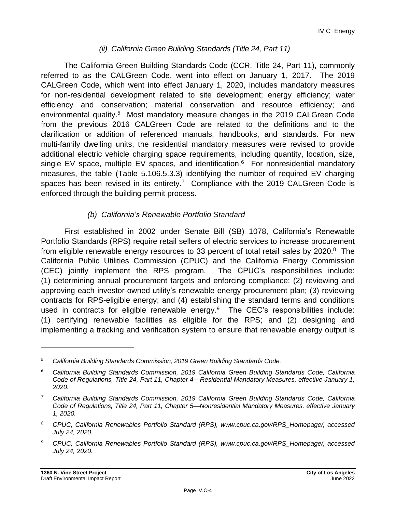#### *(ii) California Green Building Standards (Title 24, Part 11)*

The California Green Building Standards Code (CCR, Title 24, Part 11), commonly referred to as the CALGreen Code, went into effect on January 1, 2017. The 2019 CALGreen Code, which went into effect January 1, 2020, includes mandatory measures for non-residential development related to site development; energy efficiency; water efficiency and conservation; material conservation and resource efficiency; and environmental quality.<sup>5</sup> Most mandatory measure changes in the 2019 CALGreen Code from the previous 2016 CALGreen Code are related to the definitions and to the clarification or addition of referenced manuals, handbooks, and standards. For new multi-family dwelling units, the residential mandatory measures were revised to provide additional electric vehicle charging space requirements, including quantity, location, size, single EV space, multiple EV spaces, and identification.<sup>6</sup> For nonresidential mandatory measures, the table (Table 5.106.5.3.3) identifying the number of required EV charging spaces has been revised in its entirety.<sup>7</sup> Compliance with the 2019 CALGreen Code is enforced through the building permit process.

#### *(b) California's Renewable Portfolio Standard*

First established in 2002 under Senate Bill (SB) 1078, California's Renewable Portfolio Standards (RPS) require retail sellers of electric services to increase procurement from eligible renewable energy resources to 33 percent of total retail sales by 2020. $8$  The California Public Utilities Commission (CPUC) and the California Energy Commission (CEC) jointly implement the RPS program. The CPUC's responsibilities include: (1) determining annual procurement targets and enforcing compliance; (2) reviewing and approving each investor-owned utility's renewable energy procurement plan; (3) reviewing contracts for RPS-eligible energy; and (4) establishing the standard terms and conditions used in contracts for eligible renewable energy. $9$  The CEC's responsibilities include: (1) certifying renewable facilities as eligible for the RPS; and (2) designing and implementing a tracking and verification system to ensure that renewable energy output is

*<sup>5</sup> California Building Standards Commission, 2019 Green Building Standards Code.*

*<sup>6</sup> California Building Standards Commission, 2019 California Green Building Standards Code, California Code of Regulations, Title 24, Part 11, Chapter 4—Residential Mandatory Measures, effective January 1, 2020.*

*<sup>7</sup> California Building Standards Commission, 2019 California Green Building Standards Code, California Code of Regulations, Title 24, Part 11, Chapter 5—Nonresidential Mandatory Measures, effective January 1, 2020.*

*<sup>8</sup> CPUC, California Renewables Portfolio Standard (RPS), www.cpuc.ca.gov/RPS\_Homepage/, accessed July 24, 2020.*

*<sup>9</sup> CPUC, California Renewables Portfolio Standard (RPS), www.cpuc.ca.gov/RPS\_Homepage/, accessed July 24, 2020.*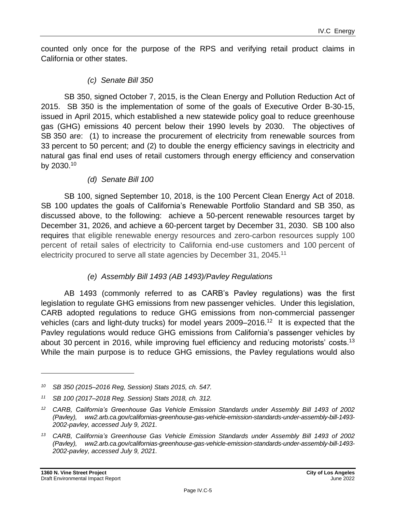counted only once for the purpose of the RPS and verifying retail product claims in California or other states.

#### *(c) Senate Bill 350*

SB 350, signed October 7, 2015, is the Clean Energy and Pollution Reduction Act of 2015. SB 350 is the implementation of some of the goals of Executive Order B-30-15, issued in April 2015, which established a new statewide policy goal to reduce greenhouse gas (GHG) emissions 40 percent below their 1990 levels by 2030. The objectives of SB 350 are: (1) to increase the procurement of electricity from renewable sources from 33 percent to 50 percent; and (2) to double the energy efficiency savings in electricity and natural gas final end uses of retail customers through energy efficiency and conservation by 2030. 10

#### *(d) Senate Bill 100*

SB 100, signed September 10, 2018, is the 100 Percent Clean Energy Act of 2018. SB 100 updates the goals of California's Renewable Portfolio Standard and SB 350, as discussed above, to the following: achieve a 50-percent renewable resources target by December 31, 2026, and achieve a 60-percent target by December 31, 2030. SB 100 also requires that eligible renewable energy resources and zero-carbon resources supply 100 percent of retail sales of electricity to California end-use customers and 100 percent of electricity procured to serve all state agencies by December 31, 2045.<sup>11</sup>

#### *(e) Assembly Bill 1493 (AB 1493)/Pavley Regulations*

AB 1493 (commonly referred to as CARB's Pavley regulations) was the first legislation to regulate GHG emissions from new passenger vehicles. Under this legislation, CARB adopted regulations to reduce GHG emissions from non-commercial passenger vehicles (cars and light-duty trucks) for model years 2009–2016.<sup>12</sup> It is expected that the Pavley regulations would reduce GHG emissions from California's passenger vehicles by about 30 percent in 2016, while improving fuel efficiency and reducing motorists' costs.<sup>13</sup> While the main purpose is to reduce GHG emissions, the Pavley regulations would also

*<sup>10</sup> SB 350 (2015–2016 Reg, Session) Stats 2015, ch. 547.*

*<sup>11</sup> SB 100 (2017–2018 Reg. Session) Stats 2018, ch. 312.*

*<sup>12</sup> CARB, California's Greenhouse Gas Vehicle Emission Standards under Assembly Bill 1493 of 2002 (Pavley), ww2.arb.ca.gov/californias-greenhouse-gas-vehicle-emission-standards-under-assembly-bill-1493- 2002-pavley, accessed July 9, 2021.*

*<sup>13</sup> CARB, California's Greenhouse Gas Vehicle Emission Standards under Assembly Bill 1493 of 2002 (Pavley), ww2.arb.ca.gov/californias-greenhouse-gas-vehicle-emission-standards-under-assembly-bill-1493- 2002-pavley, accessed July 9, 2021.*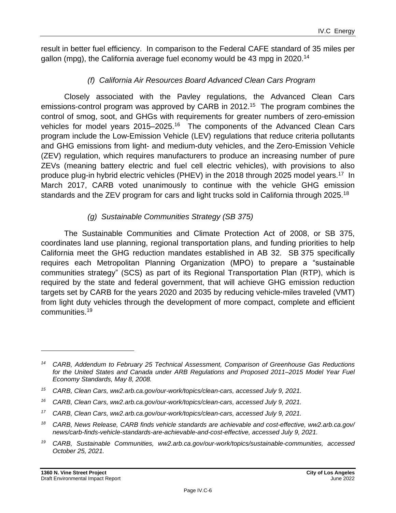result in better fuel efficiency. In comparison to the Federal CAFE standard of 35 miles per gallon (mpg), the California average fuel economy would be 43 mpg in 2020.<sup>14</sup>

#### *(f) California Air Resources Board Advanced Clean Cars Program*

Closely associated with the Pavley regulations, the Advanced Clean Cars emissions-control program was approved by CARB in 2012.<sup>15</sup> The program combines the control of smog, soot, and GHGs with requirements for greater numbers of zero-emission vehicles for model years 2015–2025.<sup>16</sup> The components of the Advanced Clean Cars program include the Low-Emission Vehicle (LEV) regulations that reduce criteria pollutants and GHG emissions from light- and medium-duty vehicles, and the Zero-Emission Vehicle (ZEV) regulation, which requires manufacturers to produce an increasing number of pure ZEVs (meaning battery electric and fuel cell electric vehicles), with provisions to also produce plug-in hybrid electric vehicles (PHEV) in the 2018 through 2025 model years.<sup>17</sup> In March 2017, CARB voted unanimously to continue with the vehicle GHG emission standards and the ZEV program for cars and light trucks sold in California through 2025.<sup>18</sup>

#### *(g) Sustainable Communities Strategy (SB 375)*

The Sustainable Communities and Climate Protection Act of 2008, or SB 375, coordinates land use planning, regional transportation plans, and funding priorities to help California meet the GHG reduction mandates established in AB 32. SB 375 specifically requires each Metropolitan Planning Organization (MPO) to prepare a "sustainable communities strategy" (SCS) as part of its Regional Transportation Plan (RTP), which is required by the state and federal government, that will achieve GHG emission reduction targets set by CARB for the years 2020 and 2035 by reducing vehicle-miles traveled (VMT) from light duty vehicles through the development of more compact, complete and efficient communities. 19

*<sup>14</sup> CARB, Addendum to February 25 Technical Assessment, Comparison of Greenhouse Gas Reductions for the United States and Canada under ARB Regulations and Proposed 2011–2015 Model Year Fuel Economy Standards, May 8, 2008.*

*<sup>15</sup> CARB, Clean Cars, ww2.arb.ca.gov/our-work/topics/clean-cars, accessed July 9, 2021.*

*<sup>16</sup> CARB, Clean Cars, ww2.arb.ca.gov/our-work/topics/clean-cars, accessed July 9, 2021.*

*<sup>17</sup> CARB, Clean Cars, ww2.arb.ca.gov/our-work/topics/clean-cars, accessed July 9, 2021.*

*<sup>18</sup> CARB, News Release, CARB finds vehicle standards are achievable and cost-effective, ww2.arb.ca.gov/ news/carb-finds-vehicle-standards-are-achievable-and-cost-effective, accessed July 9, 2021.*

*<sup>19</sup> CARB, Sustainable Communities, ww2.arb.ca.gov/our-work/topics/sustainable-communities, accessed October 25, 2021.*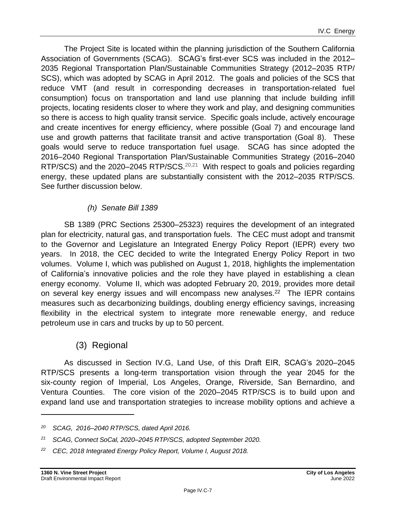The Project Site is located within the planning jurisdiction of the Southern California Association of Governments (SCAG). SCAG's first-ever SCS was included in the 2012– 2035 Regional Transportation Plan/Sustainable Communities Strategy (2012–2035 RTP/ SCS), which was adopted by SCAG in April 2012. The goals and policies of the SCS that reduce VMT (and result in corresponding decreases in transportation-related fuel consumption) focus on transportation and land use planning that include building infill projects, locating residents closer to where they work and play, and designing communities so there is access to high quality transit service. Specific goals include, actively encourage and create incentives for energy efficiency, where possible (Goal 7) and encourage land use and growth patterns that facilitate transit and active transportation (Goal 8). These goals would serve to reduce transportation fuel usage. SCAG has since adopted the 2016–2040 Regional Transportation Plan/Sustainable Communities Strategy (2016–2040 RTP/SCS) and the 2020–2045 RTP/SCS.<sup>20,21</sup> With respect to goals and policies regarding energy, these updated plans are substantially consistent with the 2012–2035 RTP/SCS. See further discussion below.

### *(h) Senate Bill 1389*

SB 1389 (PRC Sections 25300–25323) requires the development of an integrated plan for electricity, natural gas, and transportation fuels. The CEC must adopt and transmit to the Governor and Legislature an Integrated Energy Policy Report (IEPR) every two years. In 2018, the CEC decided to write the Integrated Energy Policy Report in two volumes. Volume I, which was published on August 1, 2018, highlights the implementation of California's innovative policies and the role they have played in establishing a clean energy economy. Volume II, which was adopted February 20, 2019, provides more detail on several key energy issues and will encompass new analyses.<sup>22</sup> The IEPR contains measures such as decarbonizing buildings, doubling energy efficiency savings, increasing flexibility in the electrical system to integrate more renewable energy, and reduce petroleum use in cars and trucks by up to 50 percent.

# (3) Regional

As discussed in Section IV.G, Land Use, of this Draft EIR, SCAG's 2020–2045 RTP/SCS presents a long-term transportation vision through the year 2045 for the six-county region of Imperial, Los Angeles, Orange, Riverside, San Bernardino, and Ventura Counties. The core vision of the 2020–2045 RTP/SCS is to build upon and expand land use and transportation strategies to increase mobility options and achieve a

*<sup>20</sup> SCAG, 2016–2040 RTP/SCS, dated April 2016.*

*<sup>21</sup> SCAG, Connect SoCal, 2020–2045 RTP/SCS, adopted September 2020.*

*<sup>22</sup> CEC, 2018 Integrated Energy Policy Report, Volume I, August 2018.*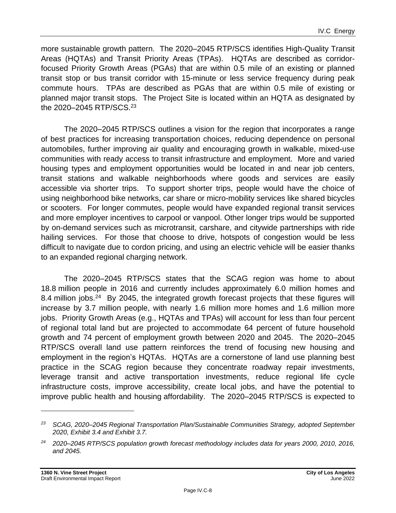more sustainable growth pattern. The 2020–2045 RTP/SCS identifies High-Quality Transit Areas (HQTAs) and Transit Priority Areas (TPAs). HQTAs are described as corridorfocused Priority Growth Areas (PGAs) that are within 0.5 mile of an existing or planned transit stop or bus transit corridor with 15-minute or less service frequency during peak commute hours. TPAs are described as PGAs that are within 0.5 mile of existing or planned major transit stops. The Project Site is located within an HQTA as designated by the 2020–2045 RTP/SCS.<sup>23</sup>

The 2020–2045 RTP/SCS outlines a vision for the region that incorporates a range of best practices for increasing transportation choices, reducing dependence on personal automobiles, further improving air quality and encouraging growth in walkable, mixed-use communities with ready access to transit infrastructure and employment. More and varied housing types and employment opportunities would be located in and near job centers, transit stations and walkable neighborhoods where goods and services are easily accessible via shorter trips. To support shorter trips, people would have the choice of using neighborhood bike networks, car share or micro-mobility services like shared bicycles or scooters. For longer commutes, people would have expanded regional transit services and more employer incentives to carpool or vanpool. Other longer trips would be supported by on-demand services such as microtransit, carshare, and citywide partnerships with ride hailing services. For those that choose to drive, hotspots of congestion would be less difficult to navigate due to cordon pricing, and using an electric vehicle will be easier thanks to an expanded regional charging network.

The 2020–2045 RTP/SCS states that the SCAG region was home to about 18.8 million people in 2016 and currently includes approximately 6.0 million homes and 8.4 million jobs.<sup>24</sup> By 2045, the integrated growth forecast projects that these figures will increase by 3.7 million people, with nearly 1.6 million more homes and 1.6 million more jobs. Priority Growth Areas (e.g., HQTAs and TPAs) will account for less than four percent of regional total land but are projected to accommodate 64 percent of future household growth and 74 percent of employment growth between 2020 and 2045. The 2020–2045 RTP/SCS overall land use pattern reinforces the trend of focusing new housing and employment in the region's HQTAs. HQTAs are a cornerstone of land use planning best practice in the SCAG region because they concentrate roadway repair investments, leverage transit and active transportation investments, reduce regional life cycle infrastructure costs, improve accessibility, create local jobs, and have the potential to improve public health and housing affordability. The 2020–2045 RTP/SCS is expected to

*<sup>23</sup> SCAG, 2020–2045 Regional Transportation Plan/Sustainable Communities Strategy, adopted September 2020, Exhibit 3.4 and Exhibit 3.7.*

*<sup>24</sup> 2020–2045 RTP/SCS population growth forecast methodology includes data for years 2000, 2010, 2016, and 2045.*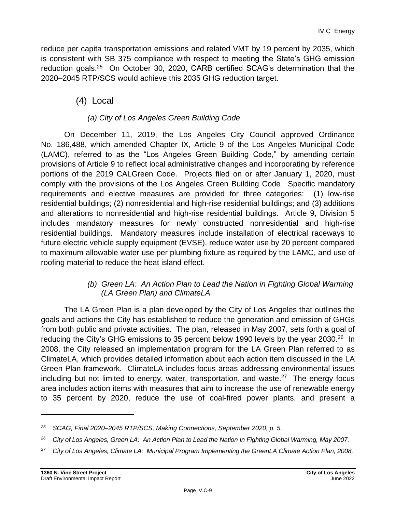reduce per capita transportation emissions and related VMT by 19 percent by 2035, which is consistent with SB 375 compliance with respect to meeting the State's GHG emission reduction goals.<sup>25</sup> On October 30, 2020, CARB certified SCAG's determination that the 2020–2045 RTP/SCS would achieve this 2035 GHG reduction target.

# (4) Local

# *(a) City of Los Angeles Green Building Code*

On December 11, 2019, the Los Angeles City Council approved Ordinance No. 186,488, which amended Chapter IX, Article 9 of the Los Angeles Municipal Code (LAMC), referred to as the "Los Angeles Green Building Code," by amending certain provisions of Article 9 to reflect local administrative changes and incorporating by reference portions of the 2019 CALGreen Code. Projects filed on or after January 1, 2020, must comply with the provisions of the Los Angeles Green Building Code. Specific mandatory requirements and elective measures are provided for three categories: (1) low-rise residential buildings; (2) nonresidential and high-rise residential buildings; and (3) additions and alterations to nonresidential and high-rise residential buildings. Article 9, Division 5 includes mandatory measures for newly constructed nonresidential and high-rise residential buildings. Mandatory measures include installation of electrical raceways to future electric vehicle supply equipment (EVSE), reduce water use by 20 percent compared to maximum allowable water use per plumbing fixture as required by the LAMC, and use of roofing material to reduce the heat island effect.

### *(b) Green LA: An Action Plan to Lead the Nation in Fighting Global Warming (LA Green Plan) and ClimateLA*

The LA Green Plan is a plan developed by the City of Los Angeles that outlines the goals and actions the City has established to reduce the generation and emission of GHGs from both public and private activities. The plan, released in May 2007, sets forth a goal of reducing the City's GHG emissions to 35 percent below 1990 levels by the year 2030.<sup>26</sup> In 2008, the City released an implementation program for the LA Green Plan referred to as ClimateLA, which provides detailed information about each action item discussed in the LA Green Plan framework. ClimateLA includes focus areas addressing environmental issues including but not limited to energy, water, transportation, and waste.<sup>27</sup> The energy focus area includes action items with measures that aim to increase the use of renewable energy to 35 percent by 2020, reduce the use of coal-fired power plants, and present a

*<sup>25</sup> SCAG, Final 2020–2045 RTP/SCS, Making Connections, September 2020, p. 5.*

*<sup>26</sup> City of Los Angeles, Green LA: An Action Plan to Lead the Nation In Fighting Global Warming, May 2007.*

*<sup>27</sup> City of Los Angeles, Climate LA: Municipal Program Implementing the GreenLA Climate Action Plan, 2008.*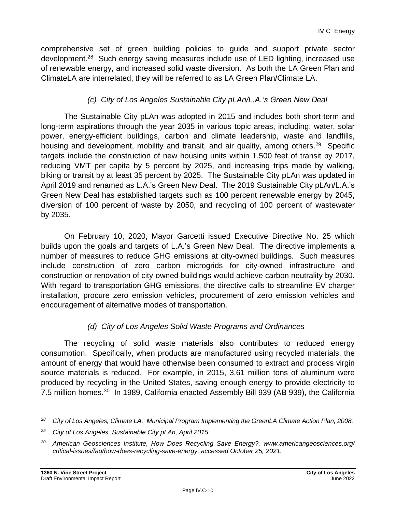comprehensive set of green building policies to guide and support private sector development.<sup>28</sup> Such energy saving measures include use of LED lighting, increased use of renewable energy, and increased solid waste diversion. As both the LA Green Plan and ClimateLA are interrelated, they will be referred to as LA Green Plan/Climate LA.

#### *(c) City of Los Angeles Sustainable City pLAn/L.A.'s Green New Deal*

The Sustainable City pLAn was adopted in 2015 and includes both short-term and long-term aspirations through the year 2035 in various topic areas, including: water, solar power, energy-efficient buildings, carbon and climate leadership, waste and landfills, housing and development, mobility and transit, and air quality, among others.<sup>29</sup> Specific targets include the construction of new housing units within 1,500 feet of transit by 2017, reducing VMT per capita by 5 percent by 2025, and increasing trips made by walking, biking or transit by at least 35 percent by 2025. The Sustainable City pLAn was updated in April 2019 and renamed as L.A.'s Green New Deal. The 2019 Sustainable City pLAn/L.A.'s Green New Deal has established targets such as 100 percent renewable energy by 2045, diversion of 100 percent of waste by 2050, and recycling of 100 percent of wastewater by 2035.

On February 10, 2020, Mayor Garcetti issued Executive Directive No. 25 which builds upon the goals and targets of L.A.'s Green New Deal. The directive implements a number of measures to reduce GHG emissions at city-owned buildings. Such measures include construction of zero carbon microgrids for city-owned infrastructure and construction or renovation of city-owned buildings would achieve carbon neutrality by 2030. With regard to transportation GHG emissions, the directive calls to streamline EV charger installation, procure zero emission vehicles, procurement of zero emission vehicles and encouragement of alternative modes of transportation.

#### *(d) City of Los Angeles Solid Waste Programs and Ordinances*

The recycling of solid waste materials also contributes to reduced energy consumption. Specifically, when products are manufactured using recycled materials, the amount of energy that would have otherwise been consumed to extract and process virgin source materials is reduced. For example, in 2015, 3.61 million tons of aluminum were produced by recycling in the United States, saving enough energy to provide electricity to 7.5 million homes.<sup>30</sup> In 1989, California enacted Assembly Bill 939 (AB 939), the California

*<sup>28</sup> City of Los Angeles, Climate LA: Municipal Program Implementing the GreenLA Climate Action Plan, 2008.*

*<sup>29</sup> City of Los Angeles, Sustainable City pLAn, April 2015.*

*<sup>30</sup> American Geosciences Institute, How Does Recycling Save Energy?, www.americangeosciences.org/ critical-issues/faq/how-does-recycling-save-energy, accessed October 25, 2021.*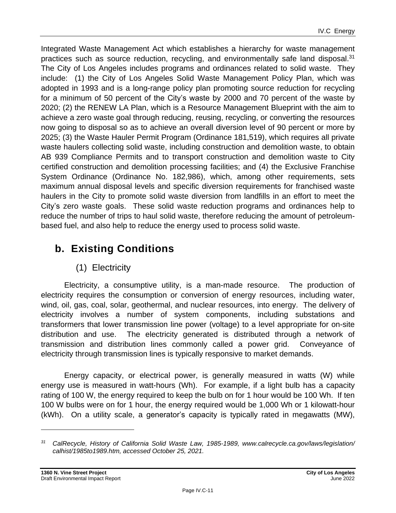Integrated Waste Management Act which establishes a hierarchy for waste management practices such as source reduction, recycling, and environmentally safe land disposal.<sup>31</sup> The City of Los Angeles includes programs and ordinances related to solid waste. They include: (1) the City of Los Angeles Solid Waste Management Policy Plan, which was adopted in 1993 and is a long-range policy plan promoting source reduction for recycling for a minimum of 50 percent of the City's waste by 2000 and 70 percent of the waste by 2020; (2) the RENEW LA Plan, which is a Resource Management Blueprint with the aim to achieve a zero waste goal through reducing, reusing, recycling, or converting the resources now going to disposal so as to achieve an overall diversion level of 90 percent or more by 2025; (3) the Waste Hauler Permit Program (Ordinance 181,519), which requires all private waste haulers collecting solid waste, including construction and demolition waste, to obtain AB 939 Compliance Permits and to transport construction and demolition waste to City certified construction and demolition processing facilities; and (4) the Exclusive Franchise System Ordinance (Ordinance No. 182,986), which, among other requirements, sets maximum annual disposal levels and specific diversion requirements for franchised waste haulers in the City to promote solid waste diversion from landfills in an effort to meet the City's zero waste goals. These solid waste reduction programs and ordinances help to reduce the number of trips to haul solid waste, therefore reducing the amount of petroleumbased fuel, and also help to reduce the energy used to process solid waste.

# **b. Existing Conditions**

# (1) Electricity

Electricity, a consumptive utility, is a man-made resource. The production of electricity requires the consumption or conversion of energy resources, including water, wind, oil, gas, coal, solar, geothermal, and nuclear resources, into energy. The delivery of electricity involves a number of system components, including substations and transformers that lower transmission line power (voltage) to a level appropriate for on-site distribution and use. The electricity generated is distributed through a network of transmission and distribution lines commonly called a power grid. Conveyance of electricity through transmission lines is typically responsive to market demands.

Energy capacity, or electrical power, is generally measured in watts (W) while energy use is measured in watt-hours (Wh). For example, if a light bulb has a capacity rating of 100 W, the energy required to keep the bulb on for 1 hour would be 100 Wh. If ten 100 W bulbs were on for 1 hour, the energy required would be 1,000 Wh or 1 kilowatt-hour (kWh). On a utility scale, a generator's capacity is typically rated in megawatts (MW),

*<sup>31</sup> CalRecycle, History of California Solid Waste Law, 1985-1989, www.calrecycle.ca.gov/laws/legislation/ calhist/1985to1989.htm, accessed October 25, 2021.*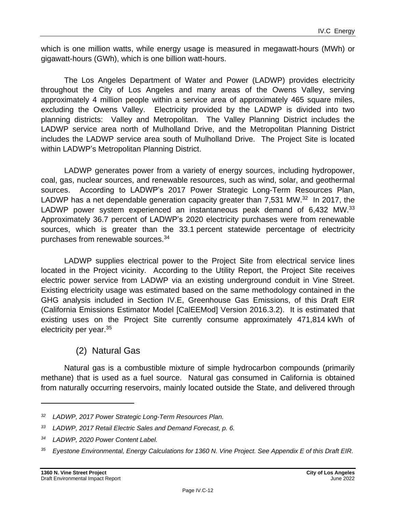which is one million watts, while energy usage is measured in megawatt-hours (MWh) or gigawatt-hours (GWh), which is one billion watt-hours.

The Los Angeles Department of Water and Power (LADWP) provides electricity throughout the City of Los Angeles and many areas of the Owens Valley, serving approximately 4 million people within a service area of approximately 465 square miles, excluding the Owens Valley. Electricity provided by the LADWP is divided into two planning districts: Valley and Metropolitan. The Valley Planning District includes the LADWP service area north of Mulholland Drive, and the Metropolitan Planning District includes the LADWP service area south of Mulholland Drive. The Project Site is located within LADWP's Metropolitan Planning District.

LADWP generates power from a variety of energy sources, including hydropower, coal, gas, nuclear sources, and renewable resources, such as wind, solar, and geothermal sources. According to LADWP's 2017 Power Strategic Long-Term Resources Plan, LADWP has a net dependable generation capacity greater than  $7,531$  MW. $^{32}$  In 2017, the LADWP power system experienced an instantaneous peak demand of 6,432 MW.<sup>33</sup> Approximately 36.7 percent of LADWP's 2020 electricity purchases were from renewable sources, which is greater than the 33.1 percent statewide percentage of electricity purchases from renewable sources.<sup>34</sup>

LADWP supplies electrical power to the Project Site from electrical service lines located in the Project vicinity. According to the Utility Report, the Project Site receives electric power service from LADWP via an existing underground conduit in Vine Street. Existing electricity usage was estimated based on the same methodology contained in the GHG analysis included in Section IV.E, Greenhouse Gas Emissions, of this Draft EIR (California Emissions Estimator Model [CalEEMod] Version 2016.3.2). It is estimated that existing uses on the Project Site currently consume approximately 471,814 kWh of electricity per year.<sup>35</sup>

# (2) Natural Gas

Natural gas is a combustible mixture of simple hydrocarbon compounds (primarily methane) that is used as a fuel source. Natural gas consumed in California is obtained from naturally occurring reservoirs, mainly located outside the State, and delivered through

*<sup>32</sup> LADWP, 2017 Power Strategic Long-Term Resources Plan.*

*<sup>33</sup> LADWP, 2017 Retail Electric Sales and Demand Forecast, p. 6.*

*<sup>34</sup> LADWP, 2020 Power Content Label.*

*<sup>35</sup> Eyestone Environmental, Energy Calculations for 1360 N. Vine Project. See Appendix E of this Draft EIR.*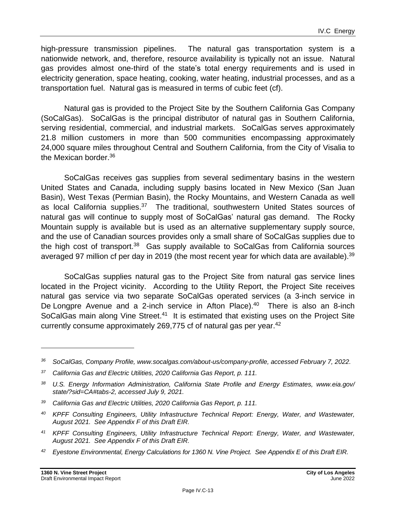high-pressure transmission pipelines. The natural gas transportation system is a nationwide network, and, therefore, resource availability is typically not an issue. Natural gas provides almost one-third of the state's total energy requirements and is used in electricity generation, space heating, cooking, water heating, industrial processes, and as a transportation fuel. Natural gas is measured in terms of cubic feet (cf).

Natural gas is provided to the Project Site by the Southern California Gas Company (SoCalGas). SoCalGas is the principal distributor of natural gas in Southern California, serving residential, commercial, and industrial markets. SoCalGas serves approximately 21.8 million customers in more than 500 communities encompassing approximately 24,000 square miles throughout Central and Southern California, from the City of Visalia to the Mexican border.<sup>36</sup>

SoCalGas receives gas supplies from several sedimentary basins in the western United States and Canada, including supply basins located in New Mexico (San Juan Basin), West Texas (Permian Basin), the Rocky Mountains, and Western Canada as well as local California supplies.<sup>37</sup> The traditional, southwestern United States sources of natural gas will continue to supply most of SoCalGas' natural gas demand. The Rocky Mountain supply is available but is used as an alternative supplementary supply source, and the use of Canadian sources provides only a small share of SoCalGas supplies due to the high cost of transport.<sup>38</sup> Gas supply available to SoCalGas from California sources averaged 97 million cf per day in 2019 (the most recent year for which data are available).<sup>39</sup>

SoCalGas supplies natural gas to the Project Site from natural gas service lines located in the Project vicinity. According to the Utility Report, the Project Site receives natural gas service via two separate SoCalGas operated services (a 3-inch service in De Longpre Avenue and a 2-inch service in Afton Place).<sup>40</sup> There is also an 8-inch SoCalGas main along Vine Street.<sup>41</sup> It is estimated that existing uses on the Project Site currently consume approximately 269,775 cf of natural gas per year.<sup>42</sup>

- *<sup>40</sup> KPFF Consulting Engineers, Utility Infrastructure Technical Report: Energy, Water, and Wastewater, August 2021. See Appendix F of this Draft EIR.*
- *<sup>41</sup> KPFF Consulting Engineers, Utility Infrastructure Technical Report: Energy, Water, and Wastewater, August 2021. See Appendix F of this Draft EIR.*
- *<sup>42</sup> Eyestone Environmental, Energy Calculations for 1360 N. Vine Project. See Appendix E of this Draft EIR.*

*<sup>36</sup> SoCalGas, Company Profile, www.socalgas.com/about-us/company-profile, accessed February 7, 2022.*

*<sup>37</sup> California Gas and Electric Utilities, 2020 California Gas Report, p. 111.*

*<sup>38</sup> U.S. Energy Information Administration, California State Profile and Energy Estimates, www.eia.gov/ state/?sid=CA#tabs-2, accessed July 9, 2021.*

*<sup>39</sup> California Gas and Electric Utilities, 2020 California Gas Report, p. 111.*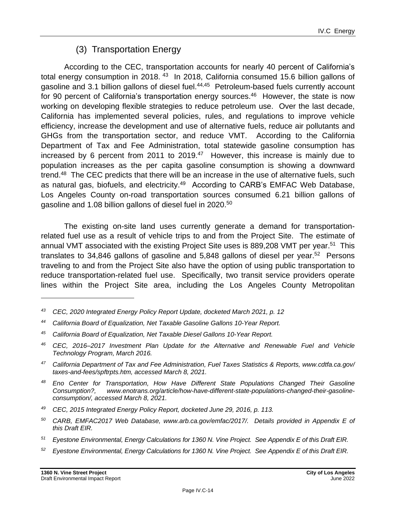# (3) Transportation Energy

According to the CEC, transportation accounts for nearly 40 percent of California's total energy consumption in 2018.<sup>43</sup> In 2018, California consumed 15.6 billion gallons of gasoline and 3.1 billion gallons of diesel fuel.<sup>44,45</sup> Petroleum-based fuels currently account for 90 percent of California's transportation energy sources.<sup>46</sup> However, the state is now working on developing flexible strategies to reduce petroleum use. Over the last decade, California has implemented several policies, rules, and regulations to improve vehicle efficiency, increase the development and use of alternative fuels, reduce air pollutants and GHGs from the transportation sector, and reduce VMT. According to the California Department of Tax and Fee Administration, total statewide gasoline consumption has increased by 6 percent from 2011 to 2019. $47$  However, this increase is mainly due to population increases as the per capita gasoline consumption is showing a downward trend.<sup>48</sup> The CEC predicts that there will be an increase in the use of alternative fuels, such as natural gas, biofuels, and electricity.<sup>49</sup> According to CARB's EMFAC Web Database, Los Angeles County on-road transportation sources consumed 6.21 billion gallons of gasoline and 1.08 billion gallons of diesel fuel in 2020.<sup>50</sup>

The existing on-site land uses currently generate a demand for transportationrelated fuel use as a result of vehicle trips to and from the Project Site. The estimate of annual VMT associated with the existing Project Site uses is 889,208 VMT per year.<sup>51</sup> This translates to 34,846 gallons of gasoline and 5,848 gallons of diesel per year.<sup>52</sup> Persons traveling to and from the Project Site also have the option of using public transportation to reduce transportation-related fuel use. Specifically, two transit service providers operate lines within the Project Site area, including the Los Angeles County Metropolitan

*<sup>43</sup> CEC, 2020 Integrated Energy Policy Report Update, docketed March 2021, p. 12*

*<sup>44</sup> California Board of Equalization, Net Taxable Gasoline Gallons 10-Year Report.*

*<sup>45</sup> California Board of Equalization, Net Taxable Diesel Gallons 10-Year Report.*

*<sup>46</sup> CEC, 2016–2017 Investment Plan Update for the Alternative and Renewable Fuel and Vehicle Technology Program, March 2016.*

*<sup>47</sup> California Department of Tax and Fee Administration, Fuel Taxes Statistics & Reports, www.cdtfa.ca.gov/ taxes-and-fees/spftrpts.htm, accessed March 8, 2021.*

*<sup>48</sup> Eno Center for Transportation, How Have Different State Populations Changed Their Gasoline Consumption?, www.enotrans.org/article/how-have-different-state-populations-changed-their-gasolineconsumption/, accessed March 8, 2021.*

*<sup>49</sup> CEC, 2015 Integrated Energy Policy Report, docketed June 29, 2016, p. 113.*

*<sup>50</sup> CARB, EMFAC2017 Web Database, www.arb.ca.gov/emfac/2017/. Details provided in Appendix E of this Draft EIR.*

*<sup>51</sup> Eyestone Environmental, Energy Calculations for 1360 N. Vine Project. See Appendix E of this Draft EIR.*

*<sup>52</sup> Eyestone Environmental, Energy Calculations for 1360 N. Vine Project. See Appendix E of this Draft EIR.*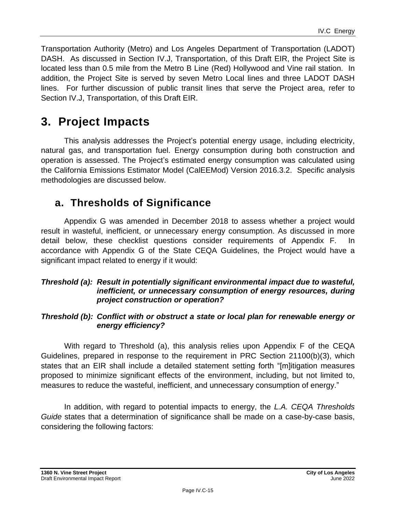Transportation Authority (Metro) and Los Angeles Department of Transportation (LADOT) DASH. As discussed in Section IV.J, Transportation, of this Draft EIR, the Project Site is located less than 0.5 mile from the Metro B Line (Red) Hollywood and Vine rail station. In addition, the Project Site is served by seven Metro Local lines and three LADOT DASH lines. For further discussion of public transit lines that serve the Project area, refer to Section IV.J, Transportation, of this Draft EIR.

# **3. Project Impacts**

This analysis addresses the Project's potential energy usage, including electricity, natural gas, and transportation fuel. Energy consumption during both construction and operation is assessed. The Project's estimated energy consumption was calculated using the California Emissions Estimator Model (CalEEMod) Version 2016.3.2. Specific analysis methodologies are discussed below.

# **a. Thresholds of Significance**

Appendix G was amended in December 2018 to assess whether a project would result in wasteful, inefficient, or unnecessary energy consumption. As discussed in more detail below, these checklist questions consider requirements of Appendix F. In accordance with Appendix G of the State CEQA Guidelines, the Project would have a significant impact related to energy if it would:

#### *Threshold (a): Result in potentially significant environmental impact due to wasteful, inefficient, or unnecessary consumption of energy resources, during project construction or operation?*

#### *Threshold (b): Conflict with or obstruct a state or local plan for renewable energy or energy efficiency?*

With regard to Threshold (a), this analysis relies upon Appendix F of the CEQA Guidelines, prepared in response to the requirement in PRC Section 21100(b)(3), which states that an EIR shall include a detailed statement setting forth "[m]itigation measures proposed to minimize significant effects of the environment, including, but not limited to, measures to reduce the wasteful, inefficient, and unnecessary consumption of energy."

In addition, with regard to potential impacts to energy, the *L.A. CEQA Thresholds Guide* states that a determination of significance shall be made on a case-by-case basis, considering the following factors: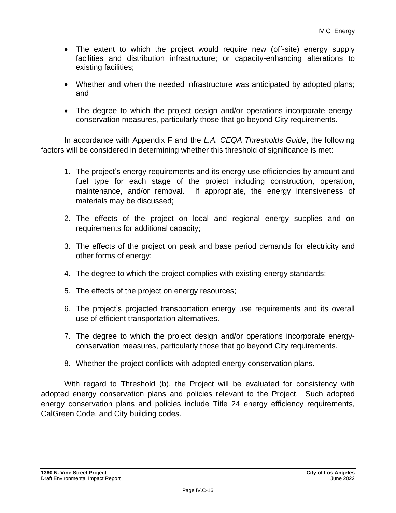- The extent to which the project would require new (off-site) energy supply facilities and distribution infrastructure; or capacity-enhancing alterations to existing facilities;
- Whether and when the needed infrastructure was anticipated by adopted plans; and
- The degree to which the project design and/or operations incorporate energyconservation measures, particularly those that go beyond City requirements.

In accordance with Appendix F and the *L.A. CEQA Thresholds Guide*, the following factors will be considered in determining whether this threshold of significance is met:

- 1. The project's energy requirements and its energy use efficiencies by amount and fuel type for each stage of the project including construction, operation, maintenance, and/or removal. If appropriate, the energy intensiveness of materials may be discussed;
- 2. The effects of the project on local and regional energy supplies and on requirements for additional capacity;
- 3. The effects of the project on peak and base period demands for electricity and other forms of energy;
- 4. The degree to which the project complies with existing energy standards;
- 5. The effects of the project on energy resources;
- 6. The project's projected transportation energy use requirements and its overall use of efficient transportation alternatives.
- 7. The degree to which the project design and/or operations incorporate energyconservation measures, particularly those that go beyond City requirements.
- 8. Whether the project conflicts with adopted energy conservation plans.

With regard to Threshold (b), the Project will be evaluated for consistency with adopted energy conservation plans and policies relevant to the Project. Such adopted energy conservation plans and policies include Title 24 energy efficiency requirements, CalGreen Code, and City building codes.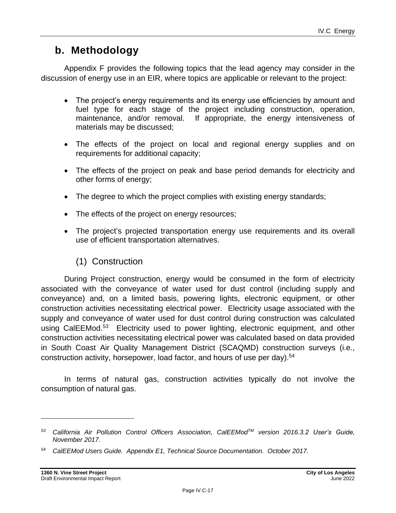# **b. Methodology**

Appendix F provides the following topics that the lead agency may consider in the discussion of energy use in an EIR, where topics are applicable or relevant to the project:

- The project's energy requirements and its energy use efficiencies by amount and fuel type for each stage of the project including construction, operation, maintenance, and/or removal. If appropriate, the energy intensiveness of materials may be discussed;
- The effects of the project on local and regional energy supplies and on requirements for additional capacity;
- The effects of the project on peak and base period demands for electricity and other forms of energy;
- The degree to which the project complies with existing energy standards;
- The effects of the project on energy resources;
- The project's projected transportation energy use requirements and its overall use of efficient transportation alternatives.

# (1) Construction

During Project construction, energy would be consumed in the form of electricity associated with the conveyance of water used for dust control (including supply and conveyance) and, on a limited basis, powering lights, electronic equipment, or other construction activities necessitating electrical power. Electricity usage associated with the supply and conveyance of water used for dust control during construction was calculated using CalEEMod.<sup>53</sup> Electricity used to power lighting, electronic equipment, and other construction activities necessitating electrical power was calculated based on data provided in South Coast Air Quality Management District (SCAQMD) construction surveys (i.e., construction activity, horsepower, load factor, and hours of use per day).<sup>54</sup>

In terms of natural gas, construction activities typically do not involve the consumption of natural gas.

*<sup>53</sup> California Air Pollution Control Officers Association, CalEEModTM version 2016.3.2 User's Guide, November 2017.*

*<sup>54</sup> CalEEMod Users Guide. Appendix E1, Technical Source Documentation. October 2017.*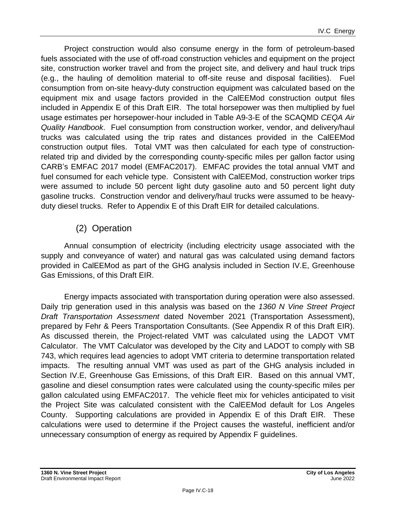Project construction would also consume energy in the form of petroleum-based fuels associated with the use of off-road construction vehicles and equipment on the project site, construction worker travel and from the project site, and delivery and haul truck trips (e.g., the hauling of demolition material to off-site reuse and disposal facilities). Fuel consumption from on-site heavy-duty construction equipment was calculated based on the equipment mix and usage factors provided in the CalEEMod construction output files included in Appendix E of this Draft EIR. The total horsepower was then multiplied by fuel usage estimates per horsepower-hour included in Table A9-3-E of the SCAQMD *CEQA Air Quality Handbook*. Fuel consumption from construction worker, vendor, and delivery/haul trucks was calculated using the trip rates and distances provided in the CalEEMod construction output files. Total VMT was then calculated for each type of constructionrelated trip and divided by the corresponding county-specific miles per gallon factor using CARB's EMFAC 2017 model (EMFAC2017). EMFAC provides the total annual VMT and fuel consumed for each vehicle type. Consistent with CalEEMod, construction worker trips were assumed to include 50 percent light duty gasoline auto and 50 percent light duty gasoline trucks. Construction vendor and delivery/haul trucks were assumed to be heavyduty diesel trucks. Refer to Appendix E of this Draft EIR for detailed calculations.

# (2) Operation

Annual consumption of electricity (including electricity usage associated with the supply and conveyance of water) and natural gas was calculated using demand factors provided in CalEEMod as part of the GHG analysis included in Section IV.E, Greenhouse Gas Emissions, of this Draft EIR.

Energy impacts associated with transportation during operation were also assessed. Daily trip generation used in this analysis was based on the *1360 N Vine Street Project Draft Transportation Assessment* dated November 2021 (Transportation Assessment), prepared by Fehr & Peers Transportation Consultants. (See Appendix R of this Draft EIR). As discussed therein, the Project-related VMT was calculated using the LADOT VMT Calculator. The VMT Calculator was developed by the City and LADOT to comply with SB 743, which requires lead agencies to adopt VMT criteria to determine transportation related impacts. The resulting annual VMT was used as part of the GHG analysis included in Section IV.E, Greenhouse Gas Emissions, of this Draft EIR. Based on this annual VMT, gasoline and diesel consumption rates were calculated using the county-specific miles per gallon calculated using EMFAC2017. The vehicle fleet mix for vehicles anticipated to visit the Project Site was calculated consistent with the CalEEMod default for Los Angeles County. Supporting calculations are provided in Appendix E of this Draft EIR. These calculations were used to determine if the Project causes the wasteful, inefficient and/or unnecessary consumption of energy as required by Appendix F guidelines.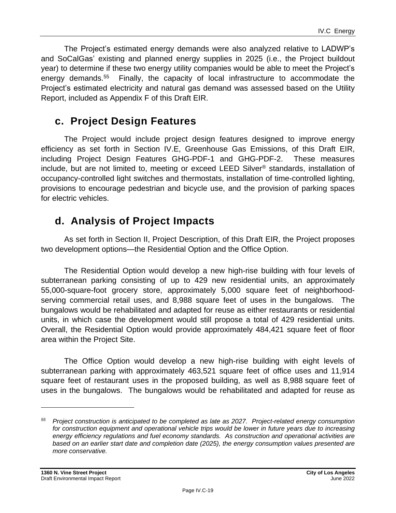The Project's estimated energy demands were also analyzed relative to LADWP's and SoCalGas' existing and planned energy supplies in 2025 (i.e., the Project buildout year) to determine if these two energy utility companies would be able to meet the Project's energy demands.<sup>55</sup> Finally, the capacity of local infrastructure to accommodate the Project's estimated electricity and natural gas demand was assessed based on the Utility Report, included as Appendix F of this Draft EIR.

# **c. Project Design Features**

The Project would include project design features designed to improve energy efficiency as set forth in Section IV.E, Greenhouse Gas Emissions, of this Draft EIR, including Project Design Features GHG-PDF-1 and GHG-PDF-2. These measures include, but are not limited to, meeting or exceed LEED Silver® standards, installation of occupancy-controlled light switches and thermostats, installation of time-controlled lighting, provisions to encourage pedestrian and bicycle use, and the provision of parking spaces for electric vehicles.

# **d. Analysis of Project Impacts**

As set forth in Section II, Project Description, of this Draft EIR, the Project proposes two development options—the Residential Option and the Office Option.

The Residential Option would develop a new high-rise building with four levels of subterranean parking consisting of up to 429 new residential units, an approximately 55,000-square-foot grocery store, approximately 5,000 square feet of neighborhoodserving commercial retail uses, and 8,988 square feet of uses in the bungalows. The bungalows would be rehabilitated and adapted for reuse as either restaurants or residential units, in which case the development would still propose a total of 429 residential units. Overall, the Residential Option would provide approximately 484,421 square feet of floor area within the Project Site.

The Office Option would develop a new high-rise building with eight levels of subterranean parking with approximately 463,521 square feet of office uses and 11,914 square feet of restaurant uses in the proposed building, as well as 8,988 square feet of uses in the bungalows. The bungalows would be rehabilitated and adapted for reuse as

*<sup>55</sup> Project construction is anticipated to be completed as late as 2027. Project-related energy consumption for construction equipment and operational vehicle trips would be lower in future years due to increasing energy efficiency regulations and fuel economy standards. As construction and operational activities are based on an earlier start date and completion date (2025), the energy consumption values presented are more conservative.*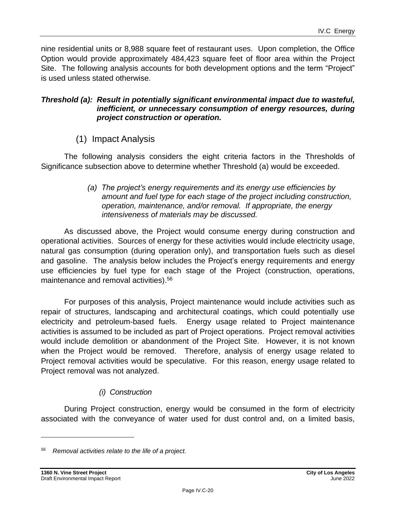nine residential units or 8,988 square feet of restaurant uses. Upon completion, the Office Option would provide approximately 484,423 square feet of floor area within the Project Site. The following analysis accounts for both development options and the term "Project" is used unless stated otherwise.

#### *Threshold (a): Result in potentially significant environmental impact due to wasteful, inefficient, or unnecessary consumption of energy resources, during project construction or operation.*

(1) Impact Analysis

The following analysis considers the eight criteria factors in the Thresholds of Significance subsection above to determine whether Threshold (a) would be exceeded.

> *(a) The project's energy requirements and its energy use efficiencies by amount and fuel type for each stage of the project including construction, operation, maintenance, and/or removal. If appropriate, the energy intensiveness of materials may be discussed.*

As discussed above, the Project would consume energy during construction and operational activities. Sources of energy for these activities would include electricity usage, natural gas consumption (during operation only), and transportation fuels such as diesel and gasoline. The analysis below includes the Project's energy requirements and energy use efficiencies by fuel type for each stage of the Project (construction, operations, maintenance and removal activities). 56

For purposes of this analysis, Project maintenance would include activities such as repair of structures, landscaping and architectural coatings, which could potentially use electricity and petroleum-based fuels. Energy usage related to Project maintenance activities is assumed to be included as part of Project operations. Project removal activities would include demolition or abandonment of the Project Site. However, it is not known when the Project would be removed. Therefore, analysis of energy usage related to Project removal activities would be speculative. For this reason, energy usage related to Project removal was not analyzed.

# *(i) Construction*

During Project construction, energy would be consumed in the form of electricity associated with the conveyance of water used for dust control and, on a limited basis,

*<sup>56</sup> Removal activities relate to the life of a project.*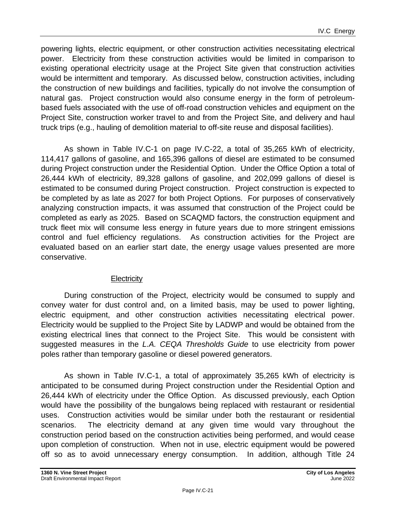powering lights, electric equipment, or other construction activities necessitating electrical power. Electricity from these construction activities would be limited in comparison to existing operational electricity usage at the Project Site given that construction activities would be intermittent and temporary. As discussed below, construction activities, including the construction of new buildings and facilities, typically do not involve the consumption of natural gas. Project construction would also consume energy in the form of petroleumbased fuels associated with the use of off-road construction vehicles and equipment on the Project Site, construction worker travel to and from the Project Site, and delivery and haul truck trips (e.g., hauling of demolition material to off-site reuse and disposal facilities).

As shown in Table IV.C-1 on page [IV.C-22,](#page-21-0) a total of 35,265 kWh of electricity, 114,417 gallons of gasoline, and 165,396 gallons of diesel are estimated to be consumed during Project construction under the Residential Option. Under the Office Option a total of 26,444 kWh of electricity, 89,328 gallons of gasoline, and 202,099 gallons of diesel is estimated to be consumed during Project construction. Project construction is expected to be completed by as late as 2027 for both Project Options. For purposes of conservatively analyzing construction impacts, it was assumed that construction of the Project could be completed as early as 2025. Based on SCAQMD factors, the construction equipment and truck fleet mix will consume less energy in future years due to more stringent emissions control and fuel efficiency regulations. As construction activities for the Project are evaluated based on an earlier start date, the energy usage values presented are more conservative.

#### **Electricity**

During construction of the Project, electricity would be consumed to supply and convey water for dust control and, on a limited basis, may be used to power lighting, electric equipment, and other construction activities necessitating electrical power. Electricity would be supplied to the Project Site by LADWP and would be obtained from the existing electrical lines that connect to the Project Site. This would be consistent with suggested measures in the *L.A. CEQA Thresholds Guide* to use electricity from power poles rather than temporary gasoline or diesel powered generators.

As shown in Table IV.C-1, a total of approximately 35,265 kWh of electricity is anticipated to be consumed during Project construction under the Residential Option and 26,444 kWh of electricity under the Office Option. As discussed previously, each Option would have the possibility of the bungalows being replaced with restaurant or residential uses. Construction activities would be similar under both the restaurant or residential scenarios. The electricity demand at any given time would vary throughout the construction period based on the construction activities being performed, and would cease upon completion of construction. When not in use, electric equipment would be powered off so as to avoid unnecessary energy consumption. In addition, although Title 24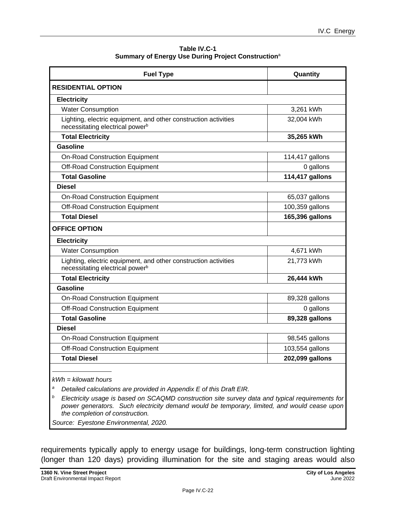**Table IV.C-1 Summary of Energy Use During Project Construction**<sup>a</sup>

<span id="page-21-0"></span>

| <b>Fuel Type</b>                                                                                               | Quantity        |
|----------------------------------------------------------------------------------------------------------------|-----------------|
| <b>RESIDENTIAL OPTION</b>                                                                                      |                 |
| <b>Electricity</b>                                                                                             |                 |
| <b>Water Consumption</b>                                                                                       | 3,261 kWh       |
| Lighting, electric equipment, and other construction activities<br>necessitating electrical power <sup>b</sup> | 32,004 kWh      |
| <b>Total Electricity</b>                                                                                       | 35,265 kWh      |
| <b>Gasoline</b>                                                                                                |                 |
| <b>On-Road Construction Equipment</b>                                                                          | 114,417 gallons |
| <b>Off-Road Construction Equipment</b>                                                                         | 0 gallons       |
| <b>Total Gasoline</b>                                                                                          | 114,417 gallons |
| <b>Diesel</b>                                                                                                  |                 |
| <b>On-Road Construction Equipment</b>                                                                          | 65,037 gallons  |
| <b>Off-Road Construction Equipment</b>                                                                         | 100,359 gallons |
| <b>Total Diesel</b>                                                                                            | 165,396 gallons |
| <b>OFFICE OPTION</b>                                                                                           |                 |
| <b>Electricity</b>                                                                                             |                 |
| <b>Water Consumption</b>                                                                                       | 4,671 kWh       |
| Lighting, electric equipment, and other construction activities<br>necessitating electrical power <sup>b</sup> | 21,773 kWh      |
| <b>Total Electricity</b>                                                                                       | 26,444 kWh      |
| Gasoline                                                                                                       |                 |
| <b>On-Road Construction Equipment</b>                                                                          | 89,328 gallons  |
| <b>Off-Road Construction Equipment</b>                                                                         | 0 gallons       |
| <b>Total Gasoline</b>                                                                                          | 89,328 gallons  |
| <b>Diesel</b>                                                                                                  |                 |
| <b>On-Road Construction Equipment</b>                                                                          | 98,545 gallons  |
| <b>Off-Road Construction Equipment</b>                                                                         | 103,554 gallons |
| <b>Total Diesel</b>                                                                                            | 202,099 gallons |
|                                                                                                                |                 |

*kWh = kilowatt hours*

*<sup>a</sup> Detailed calculations are provided in Appendix E of this Draft EIR.*

*<sup>b</sup> Electricity usage is based on SCAQMD construction site survey data and typical requirements for power generators. Such electricity demand would be temporary, limited, and would cease upon the completion of construction.*

*Source: Eyestone Environmental, 2020.*

requirements typically apply to energy usage for buildings, long-term construction lighting (longer than 120 days) providing illumination for the site and staging areas would also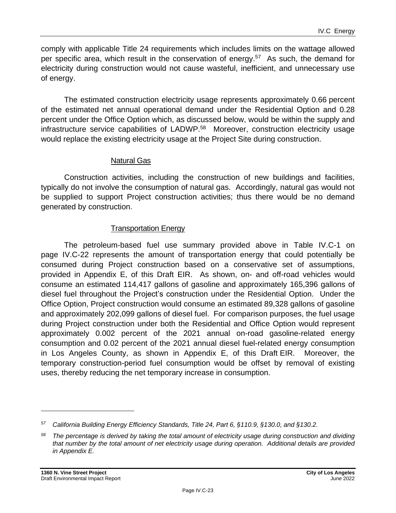comply with applicable Title 24 requirements which includes limits on the wattage allowed per specific area, which result in the conservation of energy.<sup>57</sup> As such, the demand for electricity during construction would not cause wasteful, inefficient, and unnecessary use of energy.

The estimated construction electricity usage represents approximately 0.66 percent of the estimated net annual operational demand under the Residential Option and 0.28 percent under the Office Option which, as discussed below, would be within the supply and infrastructure service capabilities of LADWP.<sup>58</sup> Moreover, construction electricity usage would replace the existing electricity usage at the Project Site during construction.

#### Natural Gas

Construction activities, including the construction of new buildings and facilities, typically do not involve the consumption of natural gas. Accordingly, natural gas would not be supplied to support Project construction activities; thus there would be no demand generated by construction.

#### Transportation Energy

The petroleum-based fuel use summary provided above in Table IV.C-1 on page [IV.C-22](#page-21-0) represents the amount of transportation energy that could potentially be consumed during Project construction based on a conservative set of assumptions, provided in Appendix E, of this Draft EIR. As shown, on- and off-road vehicles would consume an estimated 114,417 gallons of gasoline and approximately 165,396 gallons of diesel fuel throughout the Project's construction under the Residential Option. Under the Office Option, Project construction would consume an estimated 89,328 gallons of gasoline and approximately 202,099 gallons of diesel fuel. For comparison purposes, the fuel usage during Project construction under both the Residential and Office Option would represent approximately 0.002 percent of the 2021 annual on-road gasoline-related energy consumption and 0.02 percent of the 2021 annual diesel fuel-related energy consumption in Los Angeles County, as shown in Appendix E, of this Draft EIR. Moreover, the temporary construction-period fuel consumption would be offset by removal of existing uses, thereby reducing the net temporary increase in consumption.

*<sup>57</sup> California Building Energy Efficiency Standards, Title 24, Part 6, §110.9, §130.0, and §130.2.*

*<sup>58</sup> The percentage is derived by taking the total amount of electricity usage during construction and dividing that number by the total amount of net electricity usage during operation. Additional details are provided in Appendix E.*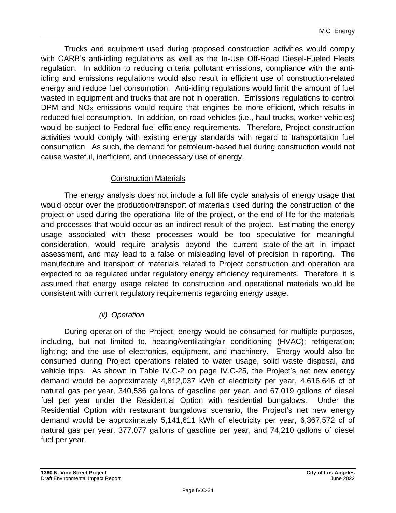Trucks and equipment used during proposed construction activities would comply with CARB's anti-idling regulations as well as the In-Use Off-Road Diesel-Fueled Fleets regulation. In addition to reducing criteria pollutant emissions, compliance with the antiidling and emissions regulations would also result in efficient use of construction-related energy and reduce fuel consumption. Anti-idling regulations would limit the amount of fuel wasted in equipment and trucks that are not in operation. Emissions regulations to control DPM and  $NO<sub>X</sub>$  emissions would require that engines be more efficient, which results in reduced fuel consumption. In addition, on-road vehicles (i.e., haul trucks, worker vehicles) would be subject to Federal fuel efficiency requirements. Therefore, Project construction activities would comply with existing energy standards with regard to transportation fuel consumption. As such, the demand for petroleum-based fuel during construction would not cause wasteful, inefficient, and unnecessary use of energy.

### Construction Materials

The energy analysis does not include a full life cycle analysis of energy usage that would occur over the production/transport of materials used during the construction of the project or used during the operational life of the project, or the end of life for the materials and processes that would occur as an indirect result of the project. Estimating the energy usage associated with these processes would be too speculative for meaningful consideration, would require analysis beyond the current state-of-the-art in impact assessment, and may lead to a false or misleading level of precision in reporting. The manufacture and transport of materials related to Project construction and operation are expected to be regulated under regulatory energy efficiency requirements. Therefore, it is assumed that energy usage related to construction and operational materials would be consistent with current regulatory requirements regarding energy usage.

# *(ii) Operation*

During operation of the Project, energy would be consumed for multiple purposes, including, but not limited to, heating/ventilating/air conditioning (HVAC); refrigeration; lighting; and the use of electronics, equipment, and machinery. Energy would also be consumed during Project operations related to water usage, solid waste disposal, and vehicle trips. As shown in Table IV.C-2 on page [IV.C-25,](#page-24-0) the Project's net new energy demand would be approximately 4,812,037 kWh of electricity per year, 4,616,646 cf of natural gas per year, 340,536 gallons of gasoline per year, and 67,019 gallons of diesel fuel per year under the Residential Option with residential bungalows. Under the Residential Option with restaurant bungalows scenario, the Project's net new energy demand would be approximately 5,141,611 kWh of electricity per year, 6,367,572 cf of natural gas per year, 377,077 gallons of gasoline per year, and 74,210 gallons of diesel fuel per year.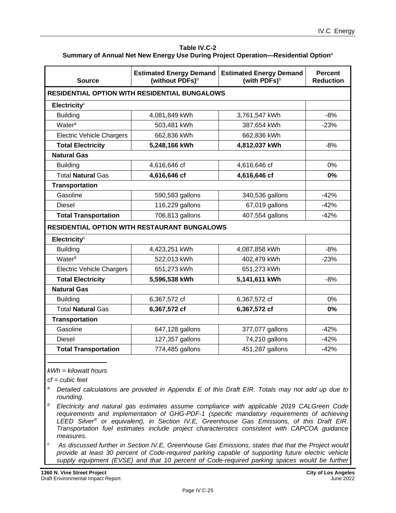| Table IV.C-2                                                                                  |
|-----------------------------------------------------------------------------------------------|
| Summary of Annual Net New Energy Use During Project Operation—Residential Option <sup>a</sup> |

<span id="page-24-0"></span>

| <b>Source</b>                    | <b>Estimated Energy Demand</b><br>(without PDFs) <sup>b</sup> | <b>Estimated Energy Demand</b><br>(with PDFs) <sup>b</sup> | <b>Percent</b><br><b>Reduction</b> |
|----------------------------------|---------------------------------------------------------------|------------------------------------------------------------|------------------------------------|
|                                  | <b>RESIDENTIAL OPTION WITH RESIDENTIAL BUNGALOWS</b>          |                                                            |                                    |
| Electricity <sup>c</sup>         |                                                               |                                                            |                                    |
| <b>Building</b>                  | 4,081,849 kWh                                                 | 3,761,547 kWh                                              | $-8%$                              |
| Water <sup>d</sup>               | 503,481 kWh                                                   | 387,654 kWh                                                | $-23%$                             |
| <b>Electric Vehicle Chargers</b> | 662,836 kWh                                                   | 662,836 kWh                                                |                                    |
| <b>Total Electricity</b>         | 5,248,166 kWh                                                 | 4,812,037 kWh                                              | $-8%$                              |
| <b>Natural Gas</b>               |                                                               |                                                            |                                    |
| <b>Building</b>                  | 4,616,646 cf                                                  | 4,616,646 cf                                               | 0%                                 |
| <b>Total Natural Gas</b>         | 4,616,646 cf                                                  | 4,616,646 cf                                               | 0%                                 |
| <b>Transportation</b>            |                                                               |                                                            |                                    |
| Gasoline                         | 590,583 gallons                                               | 340,536 gallons                                            | $-42%$                             |
| <b>Diesel</b>                    | 116,229 gallons                                               | 67,019 gallons                                             | $-42%$                             |
| <b>Total Transportation</b>      | 706,813 gallons                                               | 407,554 gallons                                            | $-42%$                             |
|                                  | <b>RESIDENTIAL OPTION WITH RESTAURANT BUNGALOWS</b>           |                                                            |                                    |
| Electricity <sup>c</sup>         |                                                               |                                                            |                                    |
| <b>Building</b>                  | 4,423,251 kWh                                                 | 4,087,858 kWh                                              | $-8%$                              |
| Water <sup>d</sup>               | 522,013 kWh                                                   | 402,479 kWh                                                | $-23%$                             |
| <b>Electric Vehicle Chargers</b> | 651,273 kWh                                                   | 651,273 kWh                                                |                                    |
| <b>Total Electricity</b>         | 5,596,538 kWh                                                 | 5,141,611 kWh                                              | $-8%$                              |
| <b>Natural Gas</b>               |                                                               |                                                            |                                    |
| <b>Building</b>                  | 6,367,572 cf                                                  | 6,367,572 cf                                               | 0%                                 |
| <b>Total Natural Gas</b>         | 6,367,572 cf                                                  | 6,367,572 cf                                               | 0%                                 |
| <b>Transportation</b>            |                                                               |                                                            |                                    |
| Gasoline                         | 647,128 gallons                                               | 377,077 gallons                                            | $-42%$                             |
| <b>Diesel</b>                    | 127,357 gallons                                               | 74,210 gallons                                             | $-42%$                             |
| <b>Total Transportation</b>      | 774,485 gallons                                               | 451,287 gallons                                            | $-42%$                             |

#### *kWh = kilowatt hours*

*cf = cubic feet*

- *<sup>a</sup> Detailed calculations are provided in Appendix E of this Draft EIR. Totals may not add up due to rounding.*
- *<sup>b</sup> Electricity and natural gas estimates assume compliance with applicable 2019 CALGreen Code requirements and implementation of GHG-PDF-1 (specific mandatory requirements of achieving LEED Silver® or equivalent), in Section IV.E, Greenhouse Gas Emissions, of this Draft EIR. Transportation fuel estimates include project characteristics consistent with CAPCOA guidance measures.*
- *<sup>c</sup> As discussed further in Section IV.E, Greenhouse Gas Emissions, states that that the Project would provide at least 30 percent of Code-required parking capable of supporting future electric vehicle supply equipment (EVSE) and that 10 percent of Code-required parking spaces would be further*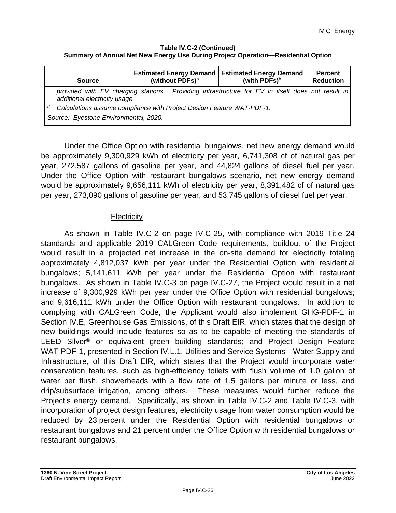#### **Table IV.C-2 (Continued) Summary of Annual Net New Energy Use During Project Operation—Residential Option**

| <b>Source</b>                                                                                                       | <b>Estimated Energy Demand</b><br>(without PDFs) <sup>b</sup> | <b>Estimated Energy Demand</b><br>(with PDFs) <sup>b</sup>                                       | <b>Percent</b><br><b>Reduction</b> |
|---------------------------------------------------------------------------------------------------------------------|---------------------------------------------------------------|--------------------------------------------------------------------------------------------------|------------------------------------|
| additional electricity usage.                                                                                       |                                                               | provided with EV charging stations. Providing infrastructure for EV in itself does not result in |                                    |
| d<br>Calculations assume compliance with Project Design Feature WAT-PDF-1.<br>Source: Eyestone Environmental, 2020. |                                                               |                                                                                                  |                                    |

Under the Office Option with residential bungalows, net new energy demand would be approximately 9,300,929 kWh of electricity per year, 6,741,308 cf of natural gas per year, 272,587 gallons of gasoline per year, and 44,824 gallons of diesel fuel per year. Under the Office Option with restaurant bungalows scenario, net new energy demand would be approximately 9,656,111 kWh of electricity per year, 8,391,482 cf of natural gas per year, 273,090 gallons of gasoline per year, and 53,745 gallons of diesel fuel per year.

### **Electricity**

As shown in Table IV.C-2 on page [IV.C-25,](#page-24-0) with compliance with 2019 Title 24 standards and applicable 2019 CALGreen Code requirements, buildout of the Project would result in a projected net increase in the on-site demand for electricity totaling approximately 4,812,037 kWh per year under the Residential Option with residential bungalows; 5,141,611 kWh per year under the Residential Option with restaurant bungalows. As shown in Table IV.C-3 on page IV.C-27, the Project would result in a net increase of 9,300,929 kWh per year under the Office Option with residential bungalows; and 9,616,111 kWh under the Office Option with restaurant bungalows. In addition to complying with CALGreen Code, the Applicant would also implement GHG-PDF-1 in Section IV.E, Greenhouse Gas Emissions, of this Draft EIR, which states that the design of new buildings would include features so as to be capable of meeting the standards of LEED Silver<sup>®</sup> or equivalent green building standards; and Project Design Feature WAT-PDF-1, presented in Section IV.L.1, Utilities and Service Systems—Water Supply and Infrastructure, of this Draft EIR, which states that the Project would incorporate water conservation features, such as high-efficiency toilets with flush volume of 1.0 gallon of water per flush, showerheads with a flow rate of 1.5 gallons per minute or less, and drip/subsurface irrigation, among others. These measures would further reduce the Project's energy demand. Specifically, as shown in Table IV.C-2 and Table IV.C-3, with incorporation of project design features, electricity usage from water consumption would be reduced by 23 percent under the Residential Option with residential bungalows or restaurant bungalows and 21 percent under the Office Option with residential bungalows or restaurant bungalows.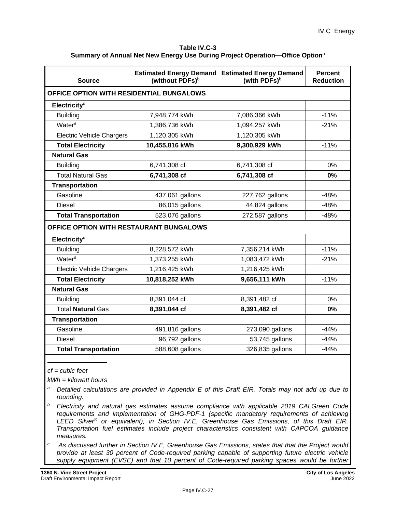| Table IV.C-3                                                                             |
|------------------------------------------------------------------------------------------|
| Summary of Annual Net New Energy Use During Project Operation—Office Option <sup>a</sup> |

| <b>Source</b>                            | <b>Estimated Energy Demand</b><br>(without PDFs) <sup>b</sup> | <b>Estimated Energy Demand</b><br>(with PDFs) <sup>b</sup> | <b>Percent</b><br><b>Reduction</b> |
|------------------------------------------|---------------------------------------------------------------|------------------------------------------------------------|------------------------------------|
| OFFICE OPTION WITH RESIDENTIAL BUNGALOWS |                                                               |                                                            |                                    |
| Electricity <sup>c</sup>                 |                                                               |                                                            |                                    |
| <b>Building</b>                          | 7,948,774 kWh                                                 | 7,086,366 kWh                                              | $-11%$                             |
| Water <sup>d</sup>                       | 1,386,736 kWh                                                 | 1,094,257 kWh                                              | $-21%$                             |
| <b>Electric Vehicle Chargers</b>         | 1,120,305 kWh                                                 | 1,120,305 kWh                                              |                                    |
| <b>Total Electricity</b>                 | 10,455,816 kWh                                                | 9,300,929 kWh                                              | $-11%$                             |
| <b>Natural Gas</b>                       |                                                               |                                                            |                                    |
| <b>Building</b>                          | 6,741,308 cf                                                  | 6,741,308 cf                                               | 0%                                 |
| <b>Total Natural Gas</b>                 | 6,741,308 cf                                                  | 6,741,308 cf                                               | $0\%$                              |
| <b>Transportation</b>                    |                                                               |                                                            |                                    |
| Gasoline                                 | 437,061 gallons                                               | 227,762 gallons                                            | $-48%$                             |
| <b>Diesel</b>                            | 86,015 gallons                                                | 44,824 gallons                                             | $-48%$                             |
| <b>Total Transportation</b>              | 523,076 gallons                                               | 272,587 gallons                                            | $-48%$                             |
| OFFICE OPTION WITH RESTAURANT BUNGALOWS  |                                                               |                                                            |                                    |
| Electricity <sup>c</sup>                 |                                                               |                                                            |                                    |
| <b>Building</b>                          | 8,228,572 kWh                                                 | 7,356,214 kWh                                              | $-11%$                             |
| Water <sup>d</sup>                       | 1,373,255 kWh                                                 | 1,083,472 kWh                                              | $-21%$                             |
| <b>Electric Vehicle Chargers</b>         | 1,216,425 kWh                                                 | 1,216,425 kWh                                              |                                    |
| <b>Total Electricity</b>                 | 10,818,252 kWh                                                | 9,656,111 kWh                                              | $-11%$                             |
| <b>Natural Gas</b>                       |                                                               |                                                            |                                    |
| <b>Building</b>                          | 8,391,044 cf                                                  | 8,391,482 cf                                               | 0%                                 |
| <b>Total Natural Gas</b>                 | 8,391,044 cf                                                  | 8,391,482 cf                                               | 0%                                 |
| <b>Transportation</b>                    |                                                               |                                                            |                                    |
| Gasoline                                 | 491,816 gallons                                               | 273,090 gallons                                            | $-44%$                             |
| <b>Diesel</b>                            | 96,792 gallons                                                | 53,745 gallons                                             | $-44%$                             |
| <b>Total Transportation</b>              | 588,608 gallons                                               | 326,835 gallons                                            | $-44%$                             |

*cf = cubic feet*

*kWh = kilowatt hours*

- *<sup>a</sup> Detailed calculations are provided in Appendix E of this Draft EIR. Totals may not add up due to rounding.*
- *<sup>b</sup> Electricity and natural gas estimates assume compliance with applicable 2019 CALGreen Code requirements and implementation of GHG-PDF-1 (specific mandatory requirements of achieving LEED Silver® or equivalent), in Section IV.E, Greenhouse Gas Emissions, of this Draft EIR. Transportation fuel estimates include project characteristics consistent with CAPCOA guidance measures.*
- *<sup>c</sup> As discussed further in Section IV.E, Greenhouse Gas Emissions, states that that the Project would provide at least 30 percent of Code-required parking capable of supporting future electric vehicle supply equipment (EVSE) and that 10 percent of Code-required parking spaces would be further*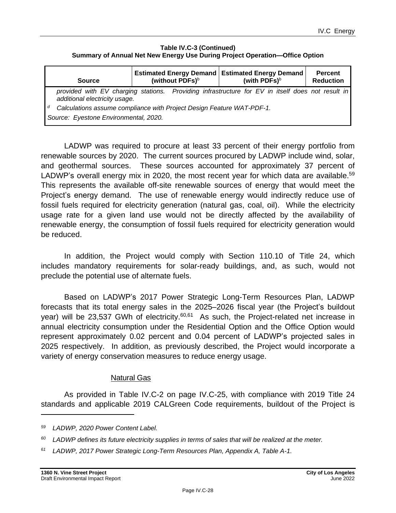#### **Table IV.C-3 (Continued) Summary of Annual Net New Energy Use During Project Operation—Office Option**

| <b>Source</b>                                                                                                       | (without PDFs) <sup>b</sup> | <b>Estimated Energy Demand   Estimated Energy Demand</b><br>(with PDFs) $b$                      | <b>Percent</b><br><b>Reduction</b> |
|---------------------------------------------------------------------------------------------------------------------|-----------------------------|--------------------------------------------------------------------------------------------------|------------------------------------|
| additional electricity usage.                                                                                       |                             | provided with EV charging stations. Providing infrastructure for EV in itself does not result in |                                    |
| d<br>Calculations assume compliance with Project Design Feature WAT-PDF-1.<br>Source: Eyestone Environmental, 2020. |                             |                                                                                                  |                                    |

LADWP was required to procure at least 33 percent of their energy portfolio from renewable sources by 2020. The current sources procured by LADWP include wind, solar, and geothermal sources. These sources accounted for approximately 37 percent of LADWP's overall energy mix in 2020, the most recent year for which data are available.<sup>59</sup> This represents the available off-site renewable sources of energy that would meet the Project's energy demand. The use of renewable energy would indirectly reduce use of fossil fuels required for electricity generation (natural gas, coal, oil). While the electricity usage rate for a given land use would not be directly affected by the availability of renewable energy, the consumption of fossil fuels required for electricity generation would be reduced.

In addition, the Project would comply with Section 110.10 of Title 24, which includes mandatory requirements for solar-ready buildings, and, as such, would not preclude the potential use of alternate fuels.

Based on LADWP's 2017 Power Strategic Long-Term Resources Plan, LADWP forecasts that its total energy sales in the 2025–2026 fiscal year (the Project's buildout year) will be 23,537 GWh of electricity.<sup>60,61</sup> As such, the Project-related net increase in annual electricity consumption under the Residential Option and the Office Option would represent approximately 0.02 percent and 0.04 percent of LADWP's projected sales in 2025 respectively. In addition, as previously described, the Project would incorporate a variety of energy conservation measures to reduce energy usage.

#### Natural Gas

As provided in Table IV.C-2 on page [IV.C-25,](#page-24-0) with compliance with 2019 Title 24 standards and applicable 2019 CALGreen Code requirements, buildout of the Project is

*<sup>61</sup> LADWP, 2017 Power Strategic Long-Term Resources Plan, Appendix A, Table A-1.*

*<sup>59</sup> LADWP, 2020 Power Content Label.*

*<sup>60</sup> LADWP defines its future electricity supplies in terms of sales that will be realized at the meter.*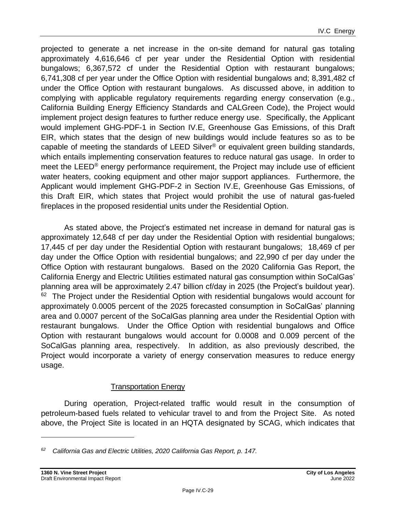IV.C Energy

projected to generate a net increase in the on-site demand for natural gas totaling approximately 4,616,646 cf per year under the Residential Option with residential bungalows; 6,367,572 cf under the Residential Option with restaurant bungalows; 6,741,308 cf per year under the Office Option with residential bungalows and; 8,391,482 cf under the Office Option with restaurant bungalows. As discussed above, in addition to complying with applicable regulatory requirements regarding energy conservation (e.g., California Building Energy Efficiency Standards and CALGreen Code), the Project would implement project design features to further reduce energy use. Specifically, the Applicant would implement GHG-PDF-1 in Section IV.E, Greenhouse Gas Emissions, of this Draft EIR, which states that the design of new buildings would include features so as to be capable of meeting the standards of LEED Silver® or equivalent green building standards, which entails implementing conservation features to reduce natural gas usage. In order to meet the LEED® energy performance requirement, the Project may include use of efficient water heaters, cooking equipment and other major support appliances. Furthermore, the Applicant would implement GHG-PDF-2 in Section IV.E, Greenhouse Gas Emissions, of this Draft EIR, which states that Project would prohibit the use of natural gas-fueled fireplaces in the proposed residential units under the Residential Option.

As stated above, the Project's estimated net increase in demand for natural gas is approximately 12,648 cf per day under the Residential Option with residential bungalows; 17,445 cf per day under the Residential Option with restaurant bungalows; 18,469 cf per day under the Office Option with residential bungalows; and 22,990 cf per day under the Office Option with restaurant bungalows. Based on the 2020 California Gas Report, the California Energy and Electric Utilities estimated natural gas consumption within SoCalGas' planning area will be approximately 2.47 billion cf/day in 2025 (the Project's buildout year). <sup>62</sup> The Project under the Residential Option with residential bungalows would account for approximately 0.0005 percent of the 2025 forecasted consumption in SoCalGas' planning area and 0.0007 percent of the SoCalGas planning area under the Residential Option with restaurant bungalows. Under the Office Option with residential bungalows and Office Option with restaurant bungalows would account for 0.0008 and 0.009 percent of the SoCalGas planning area, respectively. In addition, as also previously described, the Project would incorporate a variety of energy conservation measures to reduce energy usage.

#### Transportation Energy

During operation, Project-related traffic would result in the consumption of petroleum-based fuels related to vehicular travel to and from the Project Site. As noted above, the Project Site is located in an HQTA designated by SCAG, which indicates that

*<sup>62</sup> California Gas and Electric Utilities, 2020 California Gas Report, p. 147.*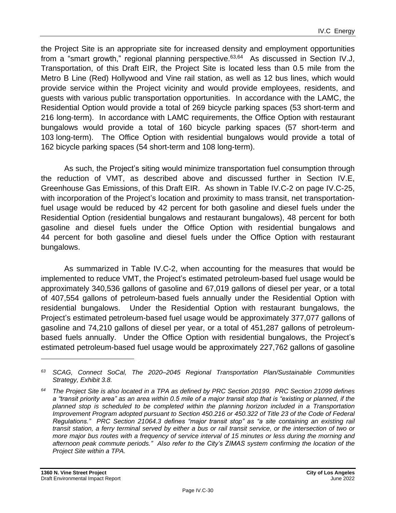the Project Site is an appropriate site for increased density and employment opportunities from a "smart growth," regional planning perspective.<sup>63,64</sup> As discussed in Section IV.J, Transportation, of this Draft EIR, the Project Site is located less than 0.5 mile from the Metro B Line (Red) Hollywood and Vine rail station, as well as 12 bus lines, which would provide service within the Project vicinity and would provide employees, residents, and guests with various public transportation opportunities. In accordance with the LAMC, the Residential Option would provide a total of 269 bicycle parking spaces (53 short-term and 216 long-term). In accordance with LAMC requirements, the Office Option with restaurant bungalows would provide a total of 160 bicycle parking spaces (57 short-term and 103 long-term). The Office Option with residential bungalows would provide a total of 162 bicycle parking spaces (54 short-term and 108 long-term).

As such, the Project's siting would minimize transportation fuel consumption through the reduction of VMT, as described above and discussed further in Section IV.E, Greenhouse Gas Emissions, of this Draft EIR. As shown in Table IV.C-2 on page [IV.C-25,](#page-24-0) with incorporation of the Project's location and proximity to mass transit, net transportationfuel usage would be reduced by 42 percent for both gasoline and diesel fuels under the Residential Option (residential bungalows and restaurant bungalows), 48 percent for both gasoline and diesel fuels under the Office Option with residential bungalows and 44 percent for both gasoline and diesel fuels under the Office Option with restaurant bungalows.

As summarized in Table IV.C-2, when accounting for the measures that would be implemented to reduce VMT, the Project's estimated petroleum-based fuel usage would be approximately 340,536 gallons of gasoline and 67,019 gallons of diesel per year, or a total of 407,554 gallons of petroleum-based fuels annually under the Residential Option with residential bungalows. Under the Residential Option with restaurant bungalows, the Project's estimated petroleum-based fuel usage would be approximately 377,077 gallons of gasoline and 74,210 gallons of diesel per year, or a total of 451,287 gallons of petroleumbased fuels annually. Under the Office Option with residential bungalows, the Project's estimated petroleum-based fuel usage would be approximately 227,762 gallons of gasoline

*<sup>63</sup> SCAG, Connect SoCal, The 2020–2045 Regional Transportation Plan/Sustainable Communities Strategy, Exhibit 3.8.*

*<sup>64</sup> The Project Site is also located in a TPA as defined by PRC Section 20199. PRC Section 21099 defines a "transit priority area" as an area within 0.5 mile of a major transit stop that is "existing or planned, if the planned stop is scheduled to be completed within the planning horizon included in a Transportation Improvement Program adopted pursuant to Section 450.216 or 450.322 of Title 23 of the Code of Federal Regulations." PRC Section 21064.3 defines "major transit stop" as "a site containing an existing rail transit station, a ferry terminal served by either a bus or rail transit service, or the intersection of two or more major bus routes with a frequency of service interval of 15 minutes or less during the morning and afternoon peak commute periods." Also refer to the City's ZIMAS system confirming the location of the Project Site within a TPA.*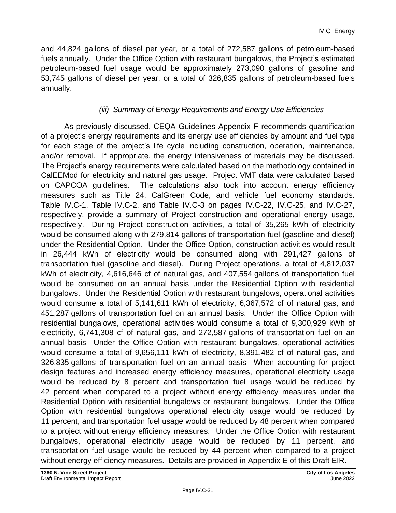and 44,824 gallons of diesel per year, or a total of 272,587 gallons of petroleum-based fuels annually. Under the Office Option with restaurant bungalows, the Project's estimated petroleum-based fuel usage would be approximately 273,090 gallons of gasoline and 53,745 gallons of diesel per year, or a total of 326,835 gallons of petroleum-based fuels annually.

# *(iii) Summary of Energy Requirements and Energy Use Efficiencies*

As previously discussed, CEQA Guidelines Appendix F recommends quantification of a project's energy requirements and its energy use efficiencies by amount and fuel type for each stage of the project's life cycle including construction, operation, maintenance, and/or removal. If appropriate, the energy intensiveness of materials may be discussed. The Project's energy requirements were calculated based on the methodology contained in CalEEMod for electricity and natural gas usage. Project VMT data were calculated based on CAPCOA guidelines. The calculations also took into account energy efficiency measures such as Title 24, CalGreen Code, and vehicle fuel economy standards. Table IV.C-1, Table IV.C-2, and Table IV.C-3 on pages [IV.C-22,](#page-21-0) [IV.C-25,](#page-24-0) and IV.C-27, respectively, provide a summary of Project construction and operational energy usage, respectively. During Project construction activities, a total of 35,265 kWh of electricity would be consumed along with 279,814 gallons of transportation fuel (gasoline and diesel) under the Residential Option. Under the Office Option, construction activities would result in 26,444 kWh of electricity would be consumed along with 291,427 gallons of transportation fuel (gasoline and diesel). During Project operations, a total of 4,812,037 kWh of electricity, 4,616,646 cf of natural gas, and 407,554 gallons of transportation fuel would be consumed on an annual basis under the Residential Option with residential bungalows. Under the Residential Option with restaurant bungalows, operational activities would consume a total of 5,141,611 kWh of electricity, 6,367,572 cf of natural gas, and 451,287 gallons of transportation fuel on an annual basis. Under the Office Option with residential bungalows, operational activities would consume a total of 9,300,929 kWh of electricity, 6,741,308 cf of natural gas, and 272,587 gallons of transportation fuel on an annual basis Under the Office Option with restaurant bungalows, operational activities would consume a total of 9,656,111 kWh of electricity, 8,391,482 cf of natural gas, and 326,835 gallons of transportation fuel on an annual basis When accounting for project design features and increased energy efficiency measures, operational electricity usage would be reduced by 8 percent and transportation fuel usage would be reduced by 42 percent when compared to a project without energy efficiency measures under the Residential Option with residential bungalows or restaurant bungalows. Under the Office Option with residential bungalows operational electricity usage would be reduced by 11 percent, and transportation fuel usage would be reduced by 48 percent when compared to a project without energy efficiency measures. Under the Office Option with restaurant bungalows, operational electricity usage would be reduced by 11 percent, and transportation fuel usage would be reduced by 44 percent when compared to a project without energy efficiency measures. Details are provided in Appendix E of this Draft EIR.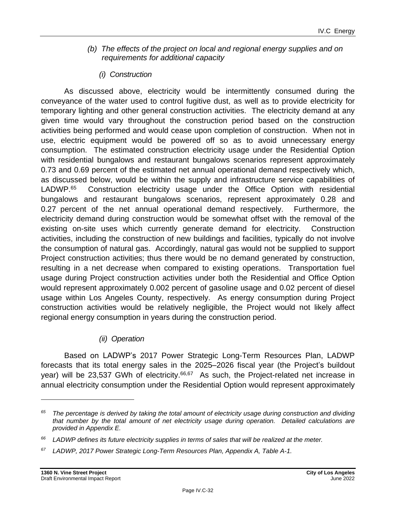- *(b) The effects of the project on local and regional energy supplies and on requirements for additional capacity*
	- *(i) Construction*

As discussed above, electricity would be intermittently consumed during the conveyance of the water used to control fugitive dust, as well as to provide electricity for temporary lighting and other general construction activities. The electricity demand at any given time would vary throughout the construction period based on the construction activities being performed and would cease upon completion of construction. When not in use, electric equipment would be powered off so as to avoid unnecessary energy consumption. The estimated construction electricity usage under the Residential Option with residential bungalows and restaurant bungalows scenarios represent approximately 0.73 and 0.69 percent of the estimated net annual operational demand respectively which, as discussed below, would be within the supply and infrastructure service capabilities of LADWP. 65 Construction electricity usage under the Office Option with residential bungalows and restaurant bungalows scenarios, represent approximately 0.28 and 0.27 percent of the net annual operational demand respectively. Furthermore, the electricity demand during construction would be somewhat offset with the removal of the existing on-site uses which currently generate demand for electricity. Construction activities, including the construction of new buildings and facilities, typically do not involve the consumption of natural gas. Accordingly, natural gas would not be supplied to support Project construction activities; thus there would be no demand generated by construction, resulting in a net decrease when compared to existing operations. Transportation fuel usage during Project construction activities under both the Residential and Office Option would represent approximately 0.002 percent of gasoline usage and 0.02 percent of diesel usage within Los Angeles County, respectively. As energy consumption during Project construction activities would be relatively negligible, the Project would not likely affect regional energy consumption in years during the construction period.

# *(ii) Operation*

Based on LADWP's 2017 Power Strategic Long-Term Resources Plan, LADWP forecasts that its total energy sales in the 2025–2026 fiscal year (the Project's buildout year) will be 23,537 GWh of electricity.<sup>66,67</sup> As such, the Project-related net increase in annual electricity consumption under the Residential Option would represent approximately

*<sup>65</sup> The percentage is derived by taking the total amount of electricity usage during construction and dividing that number by the total amount of net electricity usage during operation. Detailed calculations are provided in Appendix E.*

*<sup>66</sup> LADWP defines its future electricity supplies in terms of sales that will be realized at the meter.*

*<sup>67</sup> LADWP, 2017 Power Strategic Long-Term Resources Plan, Appendix A, Table A-1.*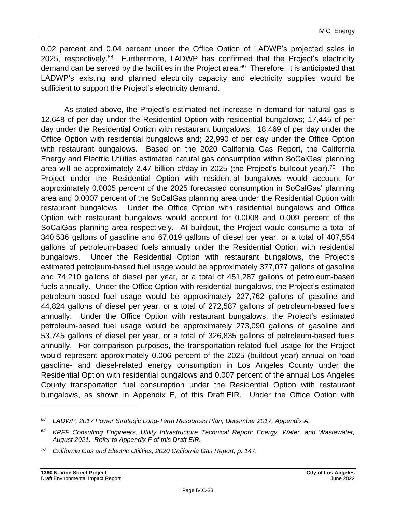0.02 percent and 0.04 percent under the Office Option of LADWP's projected sales in 2025, respectively.<sup>68</sup> Furthermore, LADWP has confirmed that the Project's electricity demand can be served by the facilities in the Project area.<sup>69</sup> Therefore, it is anticipated that LADWP's existing and planned electricity capacity and electricity supplies would be sufficient to support the Project's electricity demand.

As stated above, the Project's estimated net increase in demand for natural gas is 12,648 cf per day under the Residential Option with residential bungalows; 17,445 cf per day under the Residential Option with restaurant bungalows; 18,469 cf per day under the Office Option with residential bungalows and; 22,990 cf per day under the Office Option with restaurant bungalows. Based on the 2020 California Gas Report, the California Energy and Electric Utilities estimated natural gas consumption within SoCalGas' planning area will be approximately 2.47 billion cf/day in 2025 (the Project's buildout year).<sup>70</sup> The Project under the Residential Option with residential bungalows would account for approximately 0.0005 percent of the 2025 forecasted consumption in SoCalGas' planning area and 0.0007 percent of the SoCalGas planning area under the Residential Option with restaurant bungalows. Under the Office Option with residential bungalows and Office Option with restaurant bungalows would account for 0.0008 and 0.009 percent of the SoCalGas planning area respectively. At buildout, the Project would consume a total of 340,536 gallons of gasoline and 67,019 gallons of diesel per year, or a total of 407,554 gallons of petroleum-based fuels annually under the Residential Option with residential bungalows. Under the Residential Option with restaurant bungalows, the Project's estimated petroleum-based fuel usage would be approximately 377,077 gallons of gasoline and 74,210 gallons of diesel per year, or a total of 451,287 gallons of petroleum-based fuels annually. Under the Office Option with residential bungalows, the Project's estimated petroleum-based fuel usage would be approximately 227,762 gallons of gasoline and 44,824 gallons of diesel per year, or a total of 272,587 gallons of petroleum-based fuels annually. Under the Office Option with restaurant bungalows, the Project's estimated petroleum-based fuel usage would be approximately 273,090 gallons of gasoline and 53,745 gallons of diesel per year, or a total of 326,835 gallons of petroleum-based fuels annually. For comparison purposes, the transportation-related fuel usage for the Project would represent approximately 0.006 percent of the 2025 (buildout year) annual on-road gasoline- and diesel-related energy consumption in Los Angeles County under the Residential Option with residential bungalows and 0.007 percent of the annual Los Angeles County transportation fuel consumption under the Residential Option with restaurant bungalows, as shown in Appendix E, of this Draft EIR. Under the Office Option with

*<sup>68</sup> LADWP, 2017 Power Strategic Long-Term Resources Plan, December 2017, Appendix A.*

*<sup>69</sup> KPFF Consulting Engineers, Utility Infrastructure Technical Report: Energy, Water, and Wastewater, August 2021. Refer to Appendix F of this Draft EIR.*

*<sup>70</sup> California Gas and Electric Utilities, 2020 California Gas Report, p. 147.*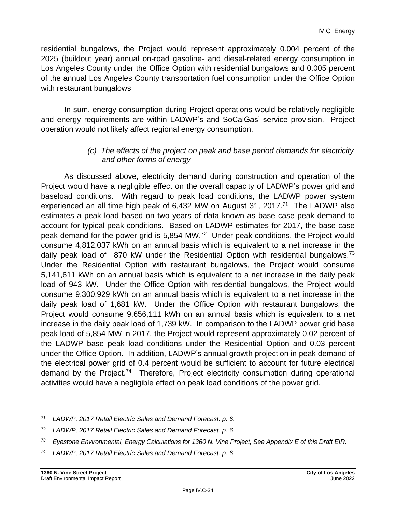residential bungalows, the Project would represent approximately 0.004 percent of the 2025 (buildout year) annual on-road gasoline- and diesel-related energy consumption in Los Angeles County under the Office Option with residential bungalows and 0.005 percent of the annual Los Angeles County transportation fuel consumption under the Office Option with restaurant bungalows

In sum, energy consumption during Project operations would be relatively negligible and energy requirements are within LADWP's and SoCalGas' service provision. Project operation would not likely affect regional energy consumption.

#### *(c) The effects of the project on peak and base period demands for electricity and other forms of energy*

As discussed above, electricity demand during construction and operation of the Project would have a negligible effect on the overall capacity of LADWP's power grid and baseload conditions. With regard to peak load conditions, the LADWP power system experienced an all time high peak of  $6,432$  MW on August 31, 2017.<sup>71</sup> The LADWP also estimates a peak load based on two years of data known as base case peak demand to account for typical peak conditions. Based on LADWP estimates for 2017, the base case peak demand for the power grid is 5,854 MW.<sup>72</sup> Under peak conditions, the Project would consume 4,812,037 kWh on an annual basis which is equivalent to a net increase in the daily peak load of 870 kW under the Residential Option with residential bungalows.<sup>73</sup> Under the Residential Option with restaurant bungalows, the Project would consume 5,141,611 kWh on an annual basis which is equivalent to a net increase in the daily peak load of 943 kW. Under the Office Option with residential bungalows, the Project would consume 9,300,929 kWh on an annual basis which is equivalent to a net increase in the daily peak load of 1,681 kW. Under the Office Option with restaurant bungalows, the Project would consume 9,656,111 kWh on an annual basis which is equivalent to a net increase in the daily peak load of 1,739 kW. In comparison to the LADWP power grid base peak load of 5,854 MW in 2017, the Project would represent approximately 0.02 percent of the LADWP base peak load conditions under the Residential Option and 0.03 percent under the Office Option. In addition, LADWP's annual growth projection in peak demand of the electrical power grid of 0.4 percent would be sufficient to account for future electrical demand by the Project.<sup>74</sup> Therefore, Project electricity consumption during operational activities would have a negligible effect on peak load conditions of the power grid.

*<sup>71</sup> LADWP, 2017 Retail Electric Sales and Demand Forecast. p. 6.*

*<sup>72</sup> LADWP, 2017 Retail Electric Sales and Demand Forecast. p. 6.*

*<sup>73</sup> Eyestone Environmental, Energy Calculations for 1360 N. Vine Project, See Appendix E of this Draft EIR.*

*<sup>74</sup> LADWP, 2017 Retail Electric Sales and Demand Forecast. p. 6.*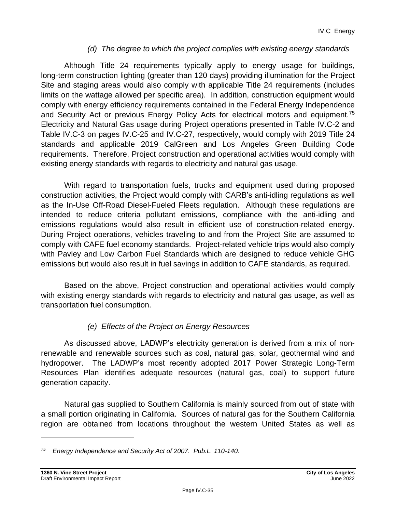#### *(d) The degree to which the project complies with existing energy standards*

Although Title 24 requirements typically apply to energy usage for buildings, long-term construction lighting (greater than 120 days) providing illumination for the Project Site and staging areas would also comply with applicable Title 24 requirements (includes limits on the wattage allowed per specific area). In addition, construction equipment would comply with energy efficiency requirements contained in the Federal Energy Independence and Security Act or previous Energy Policy Acts for electrical motors and equipment.<sup>75</sup> Electricity and Natural Gas usage during Project operations presented in Table IV.C-2 and Table IV.C-3 on pages [IV.C-25](#page-24-0) and IV.C-27, respectively, would comply with 2019 Title 24 standards and applicable 2019 CalGreen and Los Angeles Green Building Code requirements. Therefore, Project construction and operational activities would comply with existing energy standards with regards to electricity and natural gas usage.

With regard to transportation fuels, trucks and equipment used during proposed construction activities, the Project would comply with CARB's anti-idling regulations as well as the In-Use Off-Road Diesel-Fueled Fleets regulation. Although these regulations are intended to reduce criteria pollutant emissions, compliance with the anti-idling and emissions regulations would also result in efficient use of construction-related energy. During Project operations, vehicles traveling to and from the Project Site are assumed to comply with CAFE fuel economy standards. Project-related vehicle trips would also comply with Pavley and Low Carbon Fuel Standards which are designed to reduce vehicle GHG emissions but would also result in fuel savings in addition to CAFE standards, as required.

Based on the above, Project construction and operational activities would comply with existing energy standards with regards to electricity and natural gas usage, as well as transportation fuel consumption.

# *(e) Effects of the Project on Energy Resources*

As discussed above, LADWP's electricity generation is derived from a mix of nonrenewable and renewable sources such as coal, natural gas, solar, geothermal wind and hydropower. The LADWP's most recently adopted 2017 Power Strategic Long-Term Resources Plan identifies adequate resources (natural gas, coal) to support future generation capacity.

Natural gas supplied to Southern California is mainly sourced from out of state with a small portion originating in California. Sources of natural gas for the Southern California region are obtained from locations throughout the western United States as well as

*<sup>75</sup> Energy Independence and Security Act of 2007. Pub.L. 110-140.*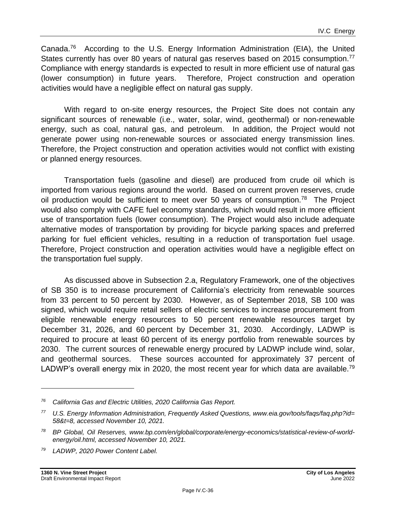Canada.<sup>76</sup> According to the U.S. Energy Information Administration (EIA), the United States currently has over 80 years of natural gas reserves based on 2015 consumption.<sup>77</sup> Compliance with energy standards is expected to result in more efficient use of natural gas (lower consumption) in future years. Therefore, Project construction and operation activities would have a negligible effect on natural gas supply.

With regard to on-site energy resources, the Project Site does not contain any significant sources of renewable (i.e., water, solar, wind, geothermal) or non-renewable energy, such as coal, natural gas, and petroleum. In addition, the Project would not generate power using non-renewable sources or associated energy transmission lines. Therefore, the Project construction and operation activities would not conflict with existing or planned energy resources.

Transportation fuels (gasoline and diesel) are produced from crude oil which is imported from various regions around the world. Based on current proven reserves, crude oil production would be sufficient to meet over 50 years of consumption.<sup>78</sup> The Project would also comply with CAFE fuel economy standards, which would result in more efficient use of transportation fuels (lower consumption). The Project would also include adequate alternative modes of transportation by providing for bicycle parking spaces and preferred parking for fuel efficient vehicles, resulting in a reduction of transportation fuel usage. Therefore, Project construction and operation activities would have a negligible effect on the transportation fuel supply.

As discussed above in Subsection 2.a, Regulatory Framework, one of the objectives of SB 350 is to increase procurement of California's electricity from renewable sources from 33 percent to 50 percent by 2030. However, as of September 2018, SB 100 was signed, which would require retail sellers of electric services to increase procurement from eligible renewable energy resources to 50 percent renewable resources target by December 31, 2026, and 60 percent by December 31, 2030. Accordingly, LADWP is required to procure at least 60 percent of its energy portfolio from renewable sources by 2030. The current sources of renewable energy procured by LADWP include wind, solar, and geothermal sources. These sources accounted for approximately 37 percent of LADWP's overall energy mix in 2020, the most recent year for which data are available.<sup>79</sup>

*<sup>76</sup> California Gas and Electric Utilities, 2020 California Gas Report.*

*<sup>77</sup> U.S. Energy Information Administration, Frequently Asked Questions, www.eia.gov/tools/faqs/faq.php?id= 58&t=8, accessed November 10, 2021.*

*<sup>78</sup> BP Global, Oil Reserves, www.bp.com/en/global/corporate/energy-economics/statistical-review-of-worldenergy/oil.html, accessed November 10, 2021.*

*<sup>79</sup> LADWP, 2020 Power Content Label.*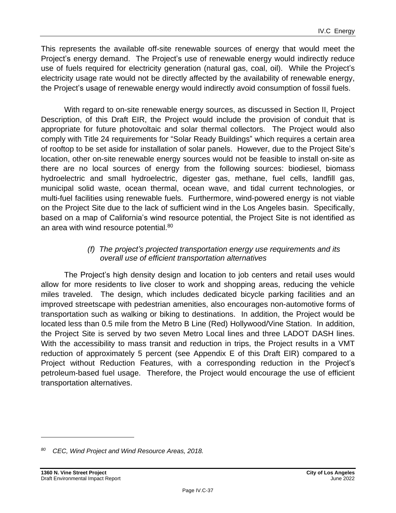This represents the available off-site renewable sources of energy that would meet the Project's energy demand. The Project's use of renewable energy would indirectly reduce use of fuels required for electricity generation (natural gas, coal, oil). While the Project's electricity usage rate would not be directly affected by the availability of renewable energy, the Project's usage of renewable energy would indirectly avoid consumption of fossil fuels.

With regard to on-site renewable energy sources, as discussed in Section II, Project Description, of this Draft EIR, the Project would include the provision of conduit that is appropriate for future photovoltaic and solar thermal collectors. The Project would also comply with Title 24 requirements for "Solar Ready Buildings" which requires a certain area of rooftop to be set aside for installation of solar panels. However, due to the Project Site's location, other on-site renewable energy sources would not be feasible to install on-site as there are no local sources of energy from the following sources: biodiesel, biomass hydroelectric and small hydroelectric, digester gas, methane, fuel cells, landfill gas, municipal solid waste, ocean thermal, ocean wave, and tidal current technologies, or multi-fuel facilities using renewable fuels. Furthermore, wind-powered energy is not viable on the Project Site due to the lack of sufficient wind in the Los Angeles basin. Specifically, based on a map of California's wind resource potential, the Project Site is not identified as an area with wind resource potential.<sup>80</sup>

#### *(f) The project's projected transportation energy use requirements and its overall use of efficient transportation alternatives*

The Project's high density design and location to job centers and retail uses would allow for more residents to live closer to work and shopping areas, reducing the vehicle miles traveled. The design, which includes dedicated bicycle parking facilities and an improved streetscape with pedestrian amenities, also encourages non-automotive forms of transportation such as walking or biking to destinations. In addition, the Project would be located less than 0.5 mile from the Metro B Line (Red) Hollywood/Vine Station. In addition, the Project Site is served by two seven Metro Local lines and three LADOT DASH lines. With the accessibility to mass transit and reduction in trips, the Project results in a VMT reduction of approximately 5 percent (see Appendix E of this Draft EIR) compared to a Project without Reduction Features, with a corresponding reduction in the Project's petroleum-based fuel usage. Therefore, the Project would encourage the use of efficient transportation alternatives.

*<sup>80</sup> CEC, Wind Project and Wind Resource Areas, 2018.*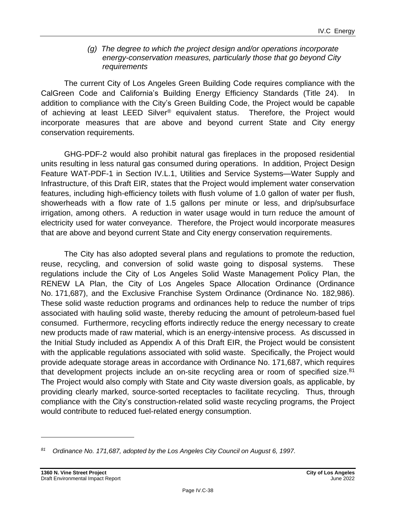#### *(g) The degree to which the project design and/or operations incorporate energy-conservation measures, particularly those that go beyond City requirements*

The current City of Los Angeles Green Building Code requires compliance with the CalGreen Code and California's Building Energy Efficiency Standards (Title 24). In addition to compliance with the City's Green Building Code, the Project would be capable of achieving at least LEED Silver<sup>®</sup> equivalent status. Therefore, the Project would incorporate measures that are above and beyond current State and City energy conservation requirements.

GHG-PDF-2 would also prohibit natural gas fireplaces in the proposed residential units resulting in less natural gas consumed during operations. In addition, Project Design Feature WAT-PDF-1 in Section IV.L.1, Utilities and Service Systems—Water Supply and Infrastructure, of this Draft EIR, states that the Project would implement water conservation features, including high-efficiency toilets with flush volume of 1.0 gallon of water per flush, showerheads with a flow rate of 1.5 gallons per minute or less, and drip/subsurface irrigation, among others. A reduction in water usage would in turn reduce the amount of electricity used for water conveyance. Therefore, the Project would incorporate measures that are above and beyond current State and City energy conservation requirements.

The City has also adopted several plans and regulations to promote the reduction, reuse, recycling, and conversion of solid waste going to disposal systems. These regulations include the City of Los Angeles Solid Waste Management Policy Plan, the RENEW LA Plan, the City of Los Angeles Space Allocation Ordinance (Ordinance No. 171,687), and the Exclusive Franchise System Ordinance (Ordinance No. 182,986). These solid waste reduction programs and ordinances help to reduce the number of trips associated with hauling solid waste, thereby reducing the amount of petroleum-based fuel consumed. Furthermore, recycling efforts indirectly reduce the energy necessary to create new products made of raw material, which is an energy-intensive process. As discussed in the Initial Study included as Appendix A of this Draft EIR, the Project would be consistent with the applicable regulations associated with solid waste. Specifically, the Project would provide adequate storage areas in accordance with Ordinance No. 171,687, which requires that development projects include an on-site recycling area or room of specified size.<sup>81</sup> The Project would also comply with State and City waste diversion goals, as applicable, by providing clearly marked, source-sorted receptacles to facilitate recycling. Thus, through compliance with the City's construction-related solid waste recycling programs, the Project would contribute to reduced fuel-related energy consumption.

*<sup>81</sup> Ordinance No. 171,687, adopted by the Los Angeles City Council on August 6, 1997.*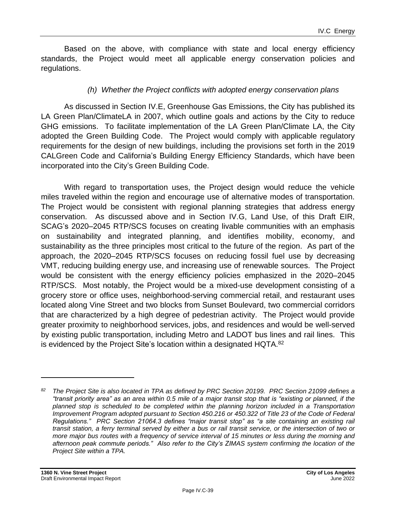Based on the above, with compliance with state and local energy efficiency standards, the Project would meet all applicable energy conservation policies and regulations.

#### *(h) Whether the Project conflicts with adopted energy conservation plans*

As discussed in Section IV.E, Greenhouse Gas Emissions, the City has published its LA Green Plan/ClimateLA in 2007, which outline goals and actions by the City to reduce GHG emissions. To facilitate implementation of the LA Green Plan/Climate LA, the City adopted the Green Building Code. The Project would comply with applicable regulatory requirements for the design of new buildings, including the provisions set forth in the 2019 CALGreen Code and California's Building Energy Efficiency Standards, which have been incorporated into the City's Green Building Code.

With regard to transportation uses, the Project design would reduce the vehicle miles traveled within the region and encourage use of alternative modes of transportation. The Project would be consistent with regional planning strategies that address energy conservation. As discussed above and in Section IV.G, Land Use, of this Draft EIR, SCAG's 2020–2045 RTP/SCS focuses on creating livable communities with an emphasis on sustainability and integrated planning, and identifies mobility, economy, and sustainability as the three principles most critical to the future of the region. As part of the approach, the 2020–2045 RTP/SCS focuses on reducing fossil fuel use by decreasing VMT, reducing building energy use, and increasing use of renewable sources. The Project would be consistent with the energy efficiency policies emphasized in the 2020–2045 RTP/SCS. Most notably, the Project would be a mixed-use development consisting of a grocery store or office uses, neighborhood-serving commercial retail, and restaurant uses located along Vine Street and two blocks from Sunset Boulevard, two commercial corridors that are characterized by a high degree of pedestrian activity. The Project would provide greater proximity to neighborhood services, jobs, and residences and would be well-served by existing public transportation, including Metro and LADOT bus lines and rail lines. This is evidenced by the Project Site's location within a designated HQTA.<sup>82</sup>

*<sup>82</sup> The Project Site is also located in TPA as defined by PRC Section 20199. PRC Section 21099 defines a "transit priority area" as an area within 0.5 mile of a major transit stop that is "existing or planned, if the planned stop is scheduled to be completed within the planning horizon included in a Transportation Improvement Program adopted pursuant to Section 450.216 or 450.322 of Title 23 of the Code of Federal Regulations." PRC Section 21064.3 defines "major transit stop" as "a site containing an existing rail transit station, a ferry terminal served by either a bus or rail transit service, or the intersection of two or more major bus routes with a frequency of service interval of 15 minutes or less during the morning and afternoon peak commute periods." Also refer to the City's ZIMAS system confirming the location of the Project Site within a TPA.*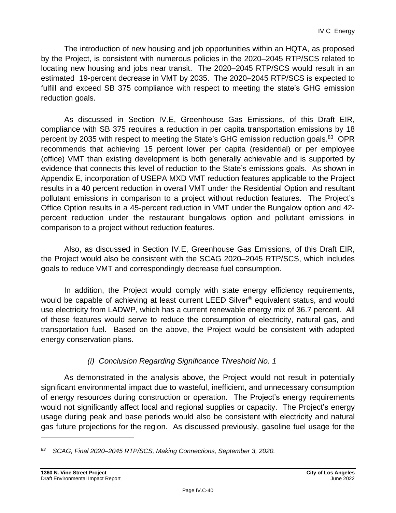The introduction of new housing and job opportunities within an HQTA, as proposed by the Project, is consistent with numerous policies in the 2020–2045 RTP/SCS related to locating new housing and jobs near transit. The 2020–2045 RTP/SCS would result in an estimated 19-percent decrease in VMT by 2035. The 2020–2045 RTP/SCS is expected to fulfill and exceed SB 375 compliance with respect to meeting the state's GHG emission reduction goals.

As discussed in Section IV.E, Greenhouse Gas Emissions, of this Draft EIR, compliance with SB 375 requires a reduction in per capita transportation emissions by 18 percent by 2035 with respect to meeting the State's GHG emission reduction goals.<sup>83</sup> OPR recommends that achieving 15 percent lower per capita (residential) or per employee (office) VMT than existing development is both generally achievable and is supported by evidence that connects this level of reduction to the State's emissions goals. As shown in Appendix E, incorporation of USEPA MXD VMT reduction features applicable to the Project results in a 40 percent reduction in overall VMT under the Residential Option and resultant pollutant emissions in comparison to a project without reduction features. The Project's Office Option results in a 45-percent reduction in VMT under the Bungalow option and 42 percent reduction under the restaurant bungalows option and pollutant emissions in comparison to a project without reduction features.

Also, as discussed in Section IV.E, Greenhouse Gas Emissions, of this Draft EIR, the Project would also be consistent with the SCAG 2020–2045 RTP/SCS, which includes goals to reduce VMT and correspondingly decrease fuel consumption.

In addition, the Project would comply with state energy efficiency requirements, would be capable of achieving at least current LEED Silver® equivalent status, and would use electricity from LADWP, which has a current renewable energy mix of 36.7 percent. All of these features would serve to reduce the consumption of electricity, natural gas, and transportation fuel. Based on the above, the Project would be consistent with adopted energy conservation plans.

# *(i) Conclusion Regarding Significance Threshold No. 1*

As demonstrated in the analysis above, the Project would not result in potentially significant environmental impact due to wasteful, inefficient, and unnecessary consumption of energy resources during construction or operation. The Project's energy requirements would not significantly affect local and regional supplies or capacity. The Project's energy usage during peak and base periods would also be consistent with electricity and natural gas future projections for the region. As discussed previously, gasoline fuel usage for the

*<sup>83</sup> SCAG, Final 2020–2045 RTP/SCS, Making Connections, September 3, 2020.*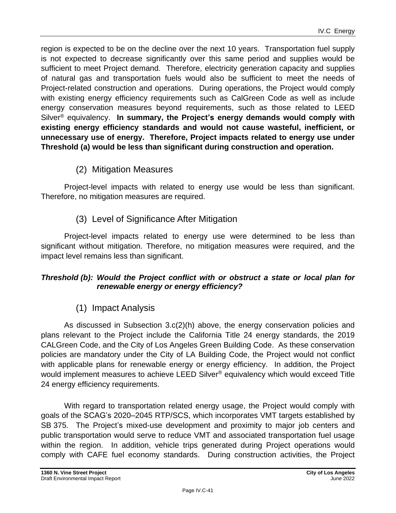region is expected to be on the decline over the next 10 years. Transportation fuel supply is not expected to decrease significantly over this same period and supplies would be sufficient to meet Project demand. Therefore, electricity generation capacity and supplies of natural gas and transportation fuels would also be sufficient to meet the needs of Project-related construction and operations. During operations, the Project would comply with existing energy efficiency requirements such as CalGreen Code as well as include energy conservation measures beyond requirements, such as those related to LEED Silver ® equivalency. **In summary, the Project's energy demands would comply with existing energy efficiency standards and would not cause wasteful, inefficient, or unnecessary use of energy. Therefore, Project impacts related to energy use under Threshold (a) would be less than significant during construction and operation.**

(2) Mitigation Measures

Project-level impacts with related to energy use would be less than significant. Therefore, no mitigation measures are required.

(3) Level of Significance After Mitigation

Project-level impacts related to energy use were determined to be less than significant without mitigation. Therefore, no mitigation measures were required, and the impact level remains less than significant.

#### *Threshold (b): Would the Project conflict with or obstruct a state or local plan for renewable energy or energy efficiency?*

# (1) Impact Analysis

As discussed in Subsection 3.c(2)(h) above, the energy conservation policies and plans relevant to the Project include the California Title 24 energy standards, the 2019 CALGreen Code, and the City of Los Angeles Green Building Code. As these conservation policies are mandatory under the City of LA Building Code, the Project would not conflict with applicable plans for renewable energy or energy efficiency. In addition, the Project would implement measures to achieve LEED Silver® equivalency which would exceed Title 24 energy efficiency requirements.

With regard to transportation related energy usage, the Project would comply with goals of the SCAG's 2020–2045 RTP/SCS, which incorporates VMT targets established by SB 375. The Project's mixed-use development and proximity to major job centers and public transportation would serve to reduce VMT and associated transportation fuel usage within the region. In addition, vehicle trips generated during Project operations would comply with CAFE fuel economy standards. During construction activities, the Project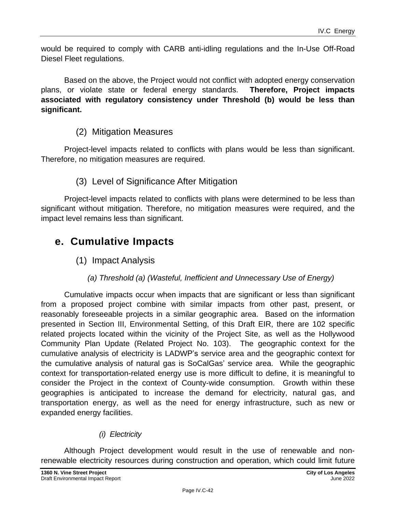would be required to comply with CARB anti-idling regulations and the In-Use Off-Road Diesel Fleet regulations.

Based on the above, the Project would not conflict with adopted energy conservation plans, or violate state or federal energy standards. **Therefore, Project impacts associated with regulatory consistency under Threshold (b) would be less than significant.**

# (2) Mitigation Measures

Project-level impacts related to conflicts with plans would be less than significant. Therefore, no mitigation measures are required.

# (3) Level of Significance After Mitigation

Project-level impacts related to conflicts with plans were determined to be less than significant without mitigation. Therefore, no mitigation measures were required, and the impact level remains less than significant.

# **e. Cumulative Impacts**

(1) Impact Analysis

# *(a) Threshold (a) (Wasteful, Inefficient and Unnecessary Use of Energy)*

Cumulative impacts occur when impacts that are significant or less than significant from a proposed project combine with similar impacts from other past, present, or reasonably foreseeable projects in a similar geographic area. Based on the information presented in Section III, Environmental Setting, of this Draft EIR, there are 102 specific related projects located within the vicinity of the Project Site, as well as the Hollywood Community Plan Update (Related Project No. 103). The geographic context for the cumulative analysis of electricity is LADWP's service area and the geographic context for the cumulative analysis of natural gas is SoCalGas' service area. While the geographic context for transportation-related energy use is more difficult to define, it is meaningful to consider the Project in the context of County-wide consumption. Growth within these geographies is anticipated to increase the demand for electricity, natural gas, and transportation energy, as well as the need for energy infrastructure, such as new or expanded energy facilities.

# *(i) Electricity*

Although Project development would result in the use of renewable and nonrenewable electricity resources during construction and operation, which could limit future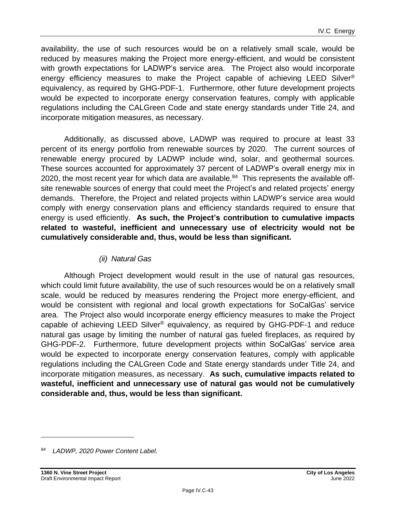availability, the use of such resources would be on a relatively small scale, would be reduced by measures making the Project more energy-efficient, and would be consistent with growth expectations for LADWP's service area. The Project also would incorporate energy efficiency measures to make the Project capable of achieving LEED Silver ® equivalency, as required by GHG-PDF-1. Furthermore, other future development projects would be expected to incorporate energy conservation features, comply with applicable regulations including the CALGreen Code and state energy standards under Title 24, and incorporate mitigation measures, as necessary.

Additionally, as discussed above, LADWP was required to procure at least 33 percent of its energy portfolio from renewable sources by 2020. The current sources of renewable energy procured by LADWP include wind, solar, and geothermal sources. These sources accounted for approximately 37 percent of LADWP's overall energy mix in 2020, the most recent year for which data are available. $84$  This represents the available offsite renewable sources of energy that could meet the Project's and related projects' energy demands. Therefore, the Project and related projects within LADWP's service area would comply with energy conservation plans and efficiency standards required to ensure that energy is used efficiently. **As such, the Project's contribution to cumulative impacts related to wasteful, inefficient and unnecessary use of electricity would not be cumulatively considerable and, thus, would be less than significant.**

#### *(ii) Natural Gas*

Although Project development would result in the use of natural gas resources, which could limit future availability, the use of such resources would be on a relatively small scale, would be reduced by measures rendering the Project more energy-efficient, and would be consistent with regional and local growth expectations for SoCalGas' service area. The Project also would incorporate energy efficiency measures to make the Project capable of achieving LEED Silver® equivalency, as required by GHG-PDF-1 and reduce natural gas usage by limiting the number of natural gas fueled fireplaces, as required by GHG-PDF-2. Furthermore, future development projects within SoCalGas' service area would be expected to incorporate energy conservation features, comply with applicable regulations including the CALGreen Code and State energy standards under Title 24, and incorporate mitigation measures, as necessary. **As such, cumulative impacts related to wasteful, inefficient and unnecessary use of natural gas would not be cumulatively considerable and, thus, would be less than significant.**

*<sup>84</sup> LADWP, 2020 Power Content Label.*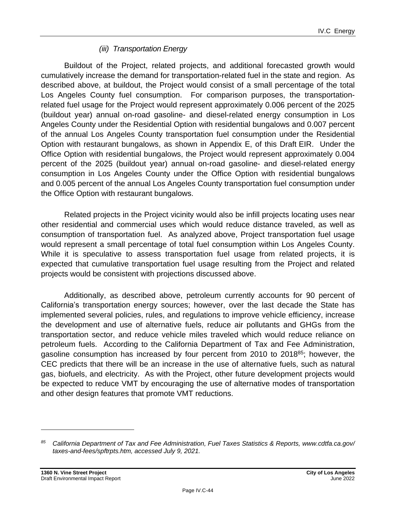#### *(iii) Transportation Energy*

Buildout of the Project, related projects, and additional forecasted growth would cumulatively increase the demand for transportation-related fuel in the state and region. As described above, at buildout, the Project would consist of a small percentage of the total Los Angeles County fuel consumption. For comparison purposes, the transportationrelated fuel usage for the Project would represent approximately 0.006 percent of the 2025 (buildout year) annual on-road gasoline- and diesel-related energy consumption in Los Angeles County under the Residential Option with residential bungalows and 0.007 percent of the annual Los Angeles County transportation fuel consumption under the Residential Option with restaurant bungalows, as shown in Appendix E, of this Draft EIR. Under the Office Option with residential bungalows, the Project would represent approximately 0.004 percent of the 2025 (buildout year) annual on-road gasoline- and diesel-related energy consumption in Los Angeles County under the Office Option with residential bungalows and 0.005 percent of the annual Los Angeles County transportation fuel consumption under the Office Option with restaurant bungalows.

Related projects in the Project vicinity would also be infill projects locating uses near other residential and commercial uses which would reduce distance traveled, as well as consumption of transportation fuel. As analyzed above, Project transportation fuel usage would represent a small percentage of total fuel consumption within Los Angeles County. While it is speculative to assess transportation fuel usage from related projects, it is expected that cumulative transportation fuel usage resulting from the Project and related projects would be consistent with projections discussed above.

Additionally, as described above, petroleum currently accounts for 90 percent of California's transportation energy sources; however, over the last decade the State has implemented several policies, rules, and regulations to improve vehicle efficiency, increase the development and use of alternative fuels, reduce air pollutants and GHGs from the transportation sector, and reduce vehicle miles traveled which would reduce reliance on petroleum fuels. According to the California Department of Tax and Fee Administration, gasoline consumption has increased by four percent from 2010 to 2018<sup>85</sup>; however, the CEC predicts that there will be an increase in the use of alternative fuels, such as natural gas, biofuels, and electricity. As with the Project, other future development projects would be expected to reduce VMT by encouraging the use of alternative modes of transportation and other design features that promote VMT reductions.

*<sup>85</sup> California Department of Tax and Fee Administration, Fuel Taxes Statistics & Reports, www.cdtfa.ca.gov/ taxes-and-fees/spftrpts.htm, accessed July 9, 2021.*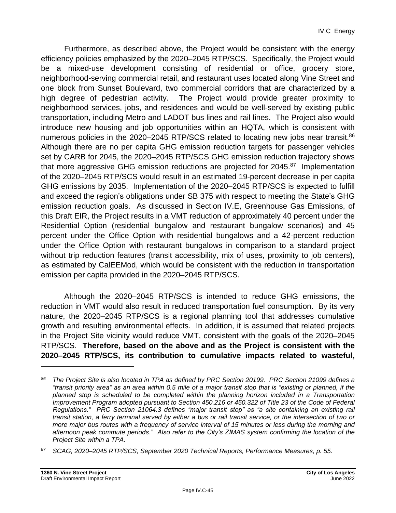Furthermore, as described above, the Project would be consistent with the energy efficiency policies emphasized by the 2020–2045 RTP/SCS. Specifically, the Project would be a mixed-use development consisting of residential or office, grocery store, neighborhood-serving commercial retail, and restaurant uses located along Vine Street and one block from Sunset Boulevard, two commercial corridors that are characterized by a high degree of pedestrian activity. The Project would provide greater proximity to neighborhood services, jobs, and residences and would be well-served by existing public transportation, including Metro and LADOT bus lines and rail lines. The Project also would introduce new housing and job opportunities within an HQTA, which is consistent with numerous policies in the 2020–2045 RTP/SCS related to locating new jobs near transit.<sup>86</sup> Although there are no per capita GHG emission reduction targets for passenger vehicles set by CARB for 2045, the 2020–2045 RTP/SCS GHG emission reduction trajectory shows that more aggressive GHG emission reductions are projected for 2045.<sup>87</sup> Implementation of the 2020–2045 RTP/SCS would result in an estimated 19-percent decrease in per capita GHG emissions by 2035. Implementation of the 2020–2045 RTP/SCS is expected to fulfill and exceed the region's obligations under SB 375 with respect to meeting the State's GHG emission reduction goals. As discussed in Section IV.E, Greenhouse Gas Emissions, of this Draft EIR, the Project results in a VMT reduction of approximately 40 percent under the Residential Option (residential bungalow and restaurant bungalow scenarios) and 45 percent under the Office Option with residential bungalows and a 42-percent reduction under the Office Option with restaurant bungalows in comparison to a standard project without trip reduction features (transit accessibility, mix of uses, proximity to job centers), as estimated by CalEEMod, which would be consistent with the reduction in transportation emission per capita provided in the 2020–2045 RTP/SCS.

Although the 2020–2045 RTP/SCS is intended to reduce GHG emissions, the reduction in VMT would also result in reduced transportation fuel consumption. By its very nature, the 2020–2045 RTP/SCS is a regional planning tool that addresses cumulative growth and resulting environmental effects. In addition, it is assumed that related projects in the Project Site vicinity would reduce VMT, consistent with the goals of the 2020–2045 RTP/SCS. **Therefore, based on the above and as the Project is consistent with the 2020–2045 RTP/SCS, its contribution to cumulative impacts related to wasteful,**

*<sup>86</sup> The Project Site is also located in TPA as defined by PRC Section 20199. PRC Section 21099 defines a "transit priority area" as an area within 0.5 mile of a major transit stop that is "existing or planned, if the planned stop is scheduled to be completed within the planning horizon included in a Transportation Improvement Program adopted pursuant to Section 450.216 or 450.322 of Title 23 of the Code of Federal Regulations." PRC Section 21064.3 defines "major transit stop" as "a site containing an existing rail transit station, a ferry terminal served by either a bus or rail transit service, or the intersection of two or more major bus routes with a frequency of service interval of 15 minutes or less during the morning and afternoon peak commute periods." Also refer to the City's ZIMAS system confirming the location of the Project Site within a TPA.*

*<sup>87</sup> SCAG, 2020–2045 RTP/SCS, September 2020 Technical Reports, Performance Measures, p. 55.*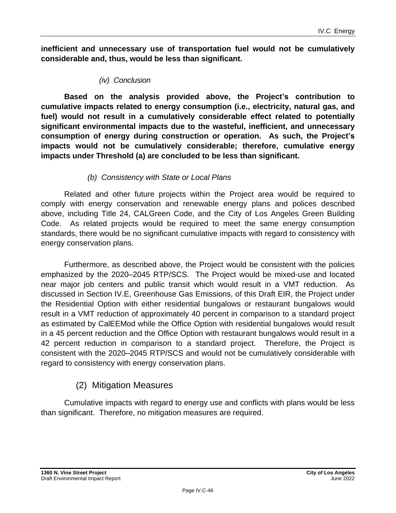**inefficient and unnecessary use of transportation fuel would not be cumulatively considerable and, thus, would be less than significant.**

*(iv) Conclusion*

**Based on the analysis provided above, the Project's contribution to cumulative impacts related to energy consumption (i.e., electricity, natural gas, and fuel) would not result in a cumulatively considerable effect related to potentially significant environmental impacts due to the wasteful, inefficient, and unnecessary consumption of energy during construction or operation. As such, the Project's impacts would not be cumulatively considerable; therefore, cumulative energy impacts under Threshold (a) are concluded to be less than significant.**

#### *(b) Consistency with State or Local Plans*

Related and other future projects within the Project area would be required to comply with energy conservation and renewable energy plans and polices described above, including Title 24, CALGreen Code, and the City of Los Angeles Green Building Code. As related projects would be required to meet the same energy consumption standards, there would be no significant cumulative impacts with regard to consistency with energy conservation plans.

Furthermore, as described above, the Project would be consistent with the policies emphasized by the 2020–2045 RTP/SCS. The Project would be mixed-use and located near major job centers and public transit which would result in a VMT reduction. As discussed in Section IV.E, Greenhouse Gas Emissions, of this Draft EIR, the Project under the Residential Option with either residential bungalows or restaurant bungalows would result in a VMT reduction of approximately 40 percent in comparison to a standard project as estimated by CalEEMod while the Office Option with residential bungalows would result in a 45 percent reduction and the Office Option with restaurant bungalows would result in a 42 percent reduction in comparison to a standard project. Therefore, the Project is consistent with the 2020–2045 RTP/SCS and would not be cumulatively considerable with regard to consistency with energy conservation plans.

# (2) Mitigation Measures

Cumulative impacts with regard to energy use and conflicts with plans would be less than significant. Therefore, no mitigation measures are required.